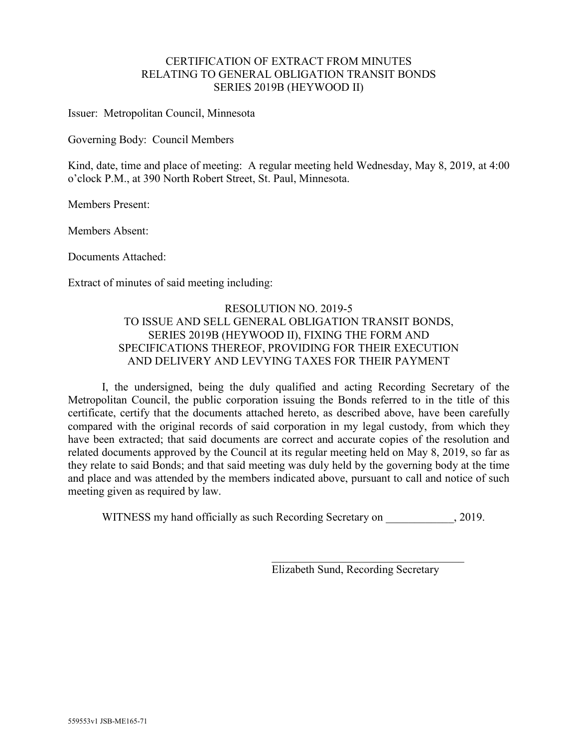## CERTIFICATION OF EXTRACT FROM MINUTES RELATING TO GENERAL OBLIGATION TRANSIT BONDS SERIES 2019B (HEYWOOD II)

Issuer: Metropolitan Council, Minnesota

Governing Body: Council Members

Kind, date, time and place of meeting: A regular meeting held Wednesday, May 8, 2019, at 4:00 o'clock P.M., at 390 North Robert Street, St. Paul, Minnesota.

Members Present:

Members Absent:

Documents Attached:

Extract of minutes of said meeting including:

# RESOLUTION NO. 2019-5 TO ISSUE AND SELL GENERAL OBLIGATION TRANSIT BONDS, SERIES 2019B (HEYWOOD II), FIXING THE FORM AND SPECIFICATIONS THEREOF, PROVIDING FOR THEIR EXECUTION AND DELIVERY AND LEVYING TAXES FOR THEIR PAYMENT

I, the undersigned, being the duly qualified and acting Recording Secretary of the Metropolitan Council, the public corporation issuing the Bonds referred to in the title of this certificate, certify that the documents attached hereto, as described above, have been carefully compared with the original records of said corporation in my legal custody, from which they have been extracted; that said documents are correct and accurate copies of the resolution and related documents approved by the Council at its regular meeting held on May 8, 2019, so far as they relate to said Bonds; and that said meeting was duly held by the governing body at the time and place and was attended by the members indicated above, pursuant to call and notice of such meeting given as required by law.

WITNESS my hand officially as such Recording Secretary on \_\_\_\_\_\_\_\_\_\_\_\_, 2019.

Elizabeth Sund, Recording Secretary

 $\mathcal{L}_\mathcal{L}$  , where  $\mathcal{L}_\mathcal{L}$  , we have the set of the set of the set of the set of the set of the set of the set of the set of the set of the set of the set of the set of the set of the set of the set of the set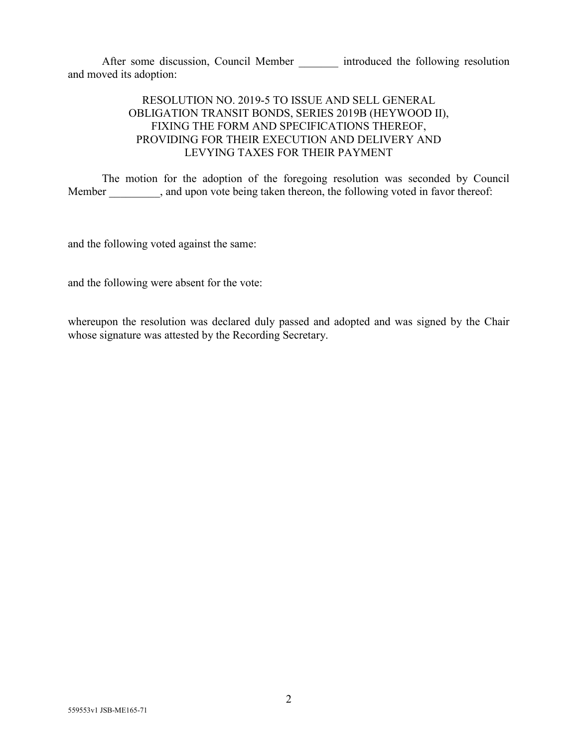After some discussion, Council Member \_\_\_\_\_\_\_\_ introduced the following resolution and moved its adoption:

# RESOLUTION NO. 2019-5 TO ISSUE AND SELL GENERAL OBLIGATION TRANSIT BONDS, SERIES 2019B (HEYWOOD II), FIXING THE FORM AND SPECIFICATIONS THEREOF, PROVIDING FOR THEIR EXECUTION AND DELIVERY AND LEVYING TAXES FOR THEIR PAYMENT

The motion for the adoption of the foregoing resolution was seconded by Council Member , and upon vote being taken thereon, the following voted in favor thereof:

and the following voted against the same:

and the following were absent for the vote:

whereupon the resolution was declared duly passed and adopted and was signed by the Chair whose signature was attested by the Recording Secretary.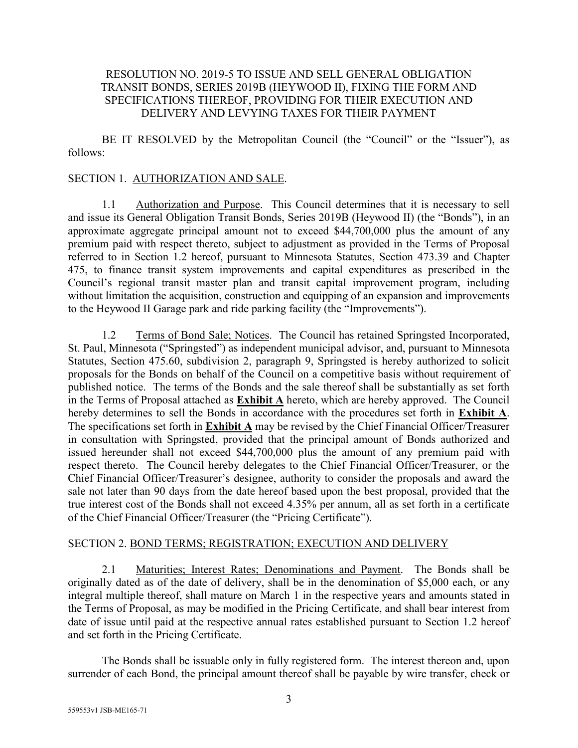# RESOLUTION NO. 2019-5 TO ISSUE AND SELL GENERAL OBLIGATION TRANSIT BONDS, SERIES 2019B (HEYWOOD II), FIXING THE FORM AND SPECIFICATIONS THEREOF, PROVIDING FOR THEIR EXECUTION AND DELIVERY AND LEVYING TAXES FOR THEIR PAYMENT

BE IT RESOLVED by the Metropolitan Council (the "Council" or the "Issuer"), as follows:

## SECTION 1. AUTHORIZATION AND SALE.

1.1 Authorization and Purpose. This Council determines that it is necessary to sell and issue its General Obligation Transit Bonds, Series 2019B (Heywood II) (the "Bonds"), in an approximate aggregate principal amount not to exceed \$44,700,000 plus the amount of any premium paid with respect thereto, subject to adjustment as provided in the Terms of Proposal referred to in Section 1.2 hereof, pursuant to Minnesota Statutes, Section 473.39 and Chapter 475, to finance transit system improvements and capital expenditures as prescribed in the Council's regional transit master plan and transit capital improvement program, including without limitation the acquisition, construction and equipping of an expansion and improvements to the Heywood II Garage park and ride parking facility (the "Improvements").

1.2 Terms of Bond Sale; Notices. The Council has retained Springsted Incorporated, St. Paul, Minnesota ("Springsted") as independent municipal advisor, and, pursuant to Minnesota Statutes, Section 475.60, subdivision 2, paragraph 9, Springsted is hereby authorized to solicit proposals for the Bonds on behalf of the Council on a competitive basis without requirement of published notice. The terms of the Bonds and the sale thereof shall be substantially as set forth in the Terms of Proposal attached as **Exhibit A** hereto, which are hereby approved. The Council hereby determines to sell the Bonds in accordance with the procedures set forth in **Exhibit A**. The specifications set forth in **Exhibit A** may be revised by the Chief Financial Officer/Treasurer in consultation with Springsted, provided that the principal amount of Bonds authorized and issued hereunder shall not exceed \$44,700,000 plus the amount of any premium paid with respect thereto. The Council hereby delegates to the Chief Financial Officer/Treasurer, or the Chief Financial Officer/Treasurer's designee, authority to consider the proposals and award the sale not later than 90 days from the date hereof based upon the best proposal, provided that the true interest cost of the Bonds shall not exceed 4.35% per annum, all as set forth in a certificate of the Chief Financial Officer/Treasurer (the "Pricing Certificate").

## SECTION 2. BOND TERMS; REGISTRATION; EXECUTION AND DELIVERY

2.1 Maturities; Interest Rates; Denominations and Payment. The Bonds shall be originally dated as of the date of delivery, shall be in the denomination of \$5,000 each, or any integral multiple thereof, shall mature on March 1 in the respective years and amounts stated in the Terms of Proposal, as may be modified in the Pricing Certificate, and shall bear interest from date of issue until paid at the respective annual rates established pursuant to Section 1.2 hereof and set forth in the Pricing Certificate.

The Bonds shall be issuable only in fully registered form. The interest thereon and, upon surrender of each Bond, the principal amount thereof shall be payable by wire transfer, check or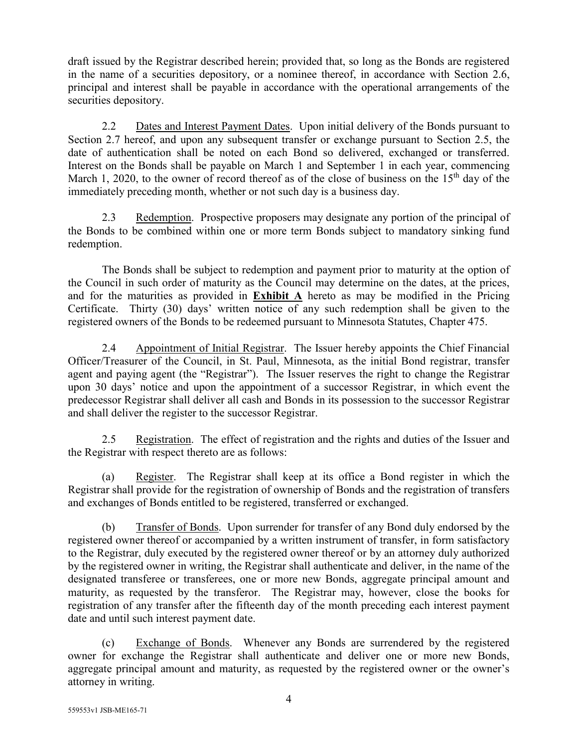draft issued by the Registrar described herein; provided that, so long as the Bonds are registered in the name of a securities depository, or a nominee thereof, in accordance with Section 2.6, principal and interest shall be payable in accordance with the operational arrangements of the securities depository.

2.2 Dates and Interest Payment Dates. Upon initial delivery of the Bonds pursuant to Section 2.7 hereof, and upon any subsequent transfer or exchange pursuant to Section 2.5, the date of authentication shall be noted on each Bond so delivered, exchanged or transferred. Interest on the Bonds shall be payable on March 1 and September 1 in each year, commencing March 1, 2020, to the owner of record thereof as of the close of business on the  $15<sup>th</sup>$  day of the immediately preceding month, whether or not such day is a business day.

2.3 Redemption. Prospective proposers may designate any portion of the principal of the Bonds to be combined within one or more term Bonds subject to mandatory sinking fund redemption.

The Bonds shall be subject to redemption and payment prior to maturity at the option of the Council in such order of maturity as the Council may determine on the dates, at the prices, and for the maturities as provided in **Exhibit A** hereto as may be modified in the Pricing Certificate. Thirty (30) days' written notice of any such redemption shall be given to the registered owners of the Bonds to be redeemed pursuant to Minnesota Statutes, Chapter 475.

2.4 Appointment of Initial Registrar. The Issuer hereby appoints the Chief Financial Officer/Treasurer of the Council, in St. Paul, Minnesota, as the initial Bond registrar, transfer agent and paying agent (the "Registrar"). The Issuer reserves the right to change the Registrar upon 30 days' notice and upon the appointment of a successor Registrar, in which event the predecessor Registrar shall deliver all cash and Bonds in its possession to the successor Registrar and shall deliver the register to the successor Registrar.

2.5 Registration. The effect of registration and the rights and duties of the Issuer and the Registrar with respect thereto are as follows:

(a) Register. The Registrar shall keep at its office a Bond register in which the Registrar shall provide for the registration of ownership of Bonds and the registration of transfers and exchanges of Bonds entitled to be registered, transferred or exchanged.

(b) Transfer of Bonds. Upon surrender for transfer of any Bond duly endorsed by the registered owner thereof or accompanied by a written instrument of transfer, in form satisfactory to the Registrar, duly executed by the registered owner thereof or by an attorney duly authorized by the registered owner in writing, the Registrar shall authenticate and deliver, in the name of the designated transferee or transferees, one or more new Bonds, aggregate principal amount and maturity, as requested by the transferor. The Registrar may, however, close the books for registration of any transfer after the fifteenth day of the month preceding each interest payment date and until such interest payment date.

(c) Exchange of Bonds. Whenever any Bonds are surrendered by the registered owner for exchange the Registrar shall authenticate and deliver one or more new Bonds, aggregate principal amount and maturity, as requested by the registered owner or the owner's attorney in writing.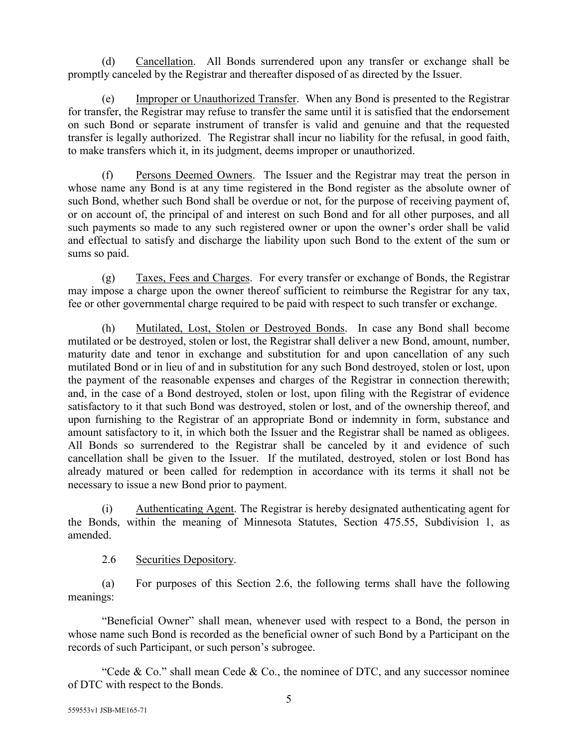(d) Cancellation. All Bonds surrendered upon any transfer or exchange shall be promptly canceled by the Registrar and thereafter disposed of as directed by the Issuer.

(e) Improper or Unauthorized Transfer. When any Bond is presented to the Registrar for transfer, the Registrar may refuse to transfer the same until it is satisfied that the endorsement on such Bond or separate instrument of transfer is valid and genuine and that the requested transfer is legally authorized. The Registrar shall incur no liability for the refusal, in good faith, to make transfers which it, in its judgment, deems improper or unauthorized.

(f) Persons Deemed Owners. The Issuer and the Registrar may treat the person in whose name any Bond is at any time registered in the Bond register as the absolute owner of such Bond, whether such Bond shall be overdue or not, for the purpose of receiving payment of, or on account of, the principal of and interest on such Bond and for all other purposes, and all such payments so made to any such registered owner or upon the owner's order shall be valid and effectual to satisfy and discharge the liability upon such Bond to the extent of the sum or sums so paid.

(g) Taxes, Fees and Charges. For every transfer or exchange of Bonds, the Registrar may impose a charge upon the owner thereof sufficient to reimburse the Registrar for any tax, fee or other governmental charge required to be paid with respect to such transfer or exchange.

(h) Mutilated, Lost, Stolen or Destroyed Bonds. In case any Bond shall become mutilated or be destroyed, stolen or lost, the Registrar shall deliver a new Bond, amount, number, maturity date and tenor in exchange and substitution for and upon cancellation of any such mutilated Bond or in lieu of and in substitution for any such Bond destroyed, stolen or lost, upon the payment of the reasonable expenses and charges of the Registrar in connection therewith; and, in the case of a Bond destroyed, stolen or lost, upon filing with the Registrar of evidence satisfactory to it that such Bond was destroyed, stolen or lost, and of the ownership thereof, and upon furnishing to the Registrar of an appropriate Bond or indemnity in form, substance and amount satisfactory to it, in which both the Issuer and the Registrar shall be named as obligees. All Bonds so surrendered to the Registrar shall be canceled by it and evidence of such cancellation shall be given to the Issuer. If the mutilated, destroyed, stolen or lost Bond has already matured or been called for redemption in accordance with its terms it shall not be necessary to issue a new Bond prior to payment.

(i) Authenticating Agent. The Registrar is hereby designated authenticating agent for the Bonds, within the meaning of Minnesota Statutes, Section 475.55, Subdivision 1, as amended.

2.6 Securities Depository.

(a) For purposes of this Section 2.6, the following terms shall have the following meanings:

"Beneficial Owner" shall mean, whenever used with respect to a Bond, the person in whose name such Bond is recorded as the beneficial owner of such Bond by a Participant on the records of such Participant, or such person's subrogee.

"Cede & Co." shall mean Cede & Co., the nominee of DTC, and any successor nominee of DTC with respect to the Bonds.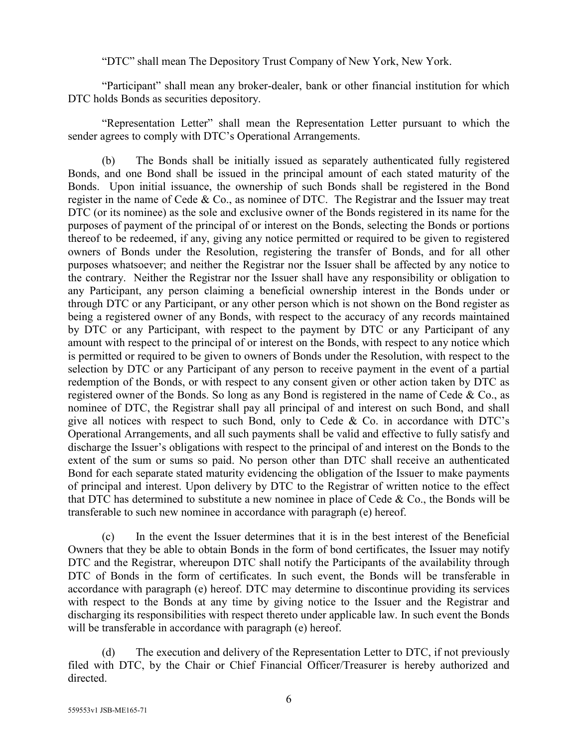"DTC" shall mean The Depository Trust Company of New York, New York.

"Participant" shall mean any broker-dealer, bank or other financial institution for which DTC holds Bonds as securities depository.

"Representation Letter" shall mean the Representation Letter pursuant to which the sender agrees to comply with DTC's Operational Arrangements.

(b) The Bonds shall be initially issued as separately authenticated fully registered Bonds, and one Bond shall be issued in the principal amount of each stated maturity of the Bonds. Upon initial issuance, the ownership of such Bonds shall be registered in the Bond register in the name of Cede & Co., as nominee of DTC. The Registrar and the Issuer may treat DTC (or its nominee) as the sole and exclusive owner of the Bonds registered in its name for the purposes of payment of the principal of or interest on the Bonds, selecting the Bonds or portions thereof to be redeemed, if any, giving any notice permitted or required to be given to registered owners of Bonds under the Resolution, registering the transfer of Bonds, and for all other purposes whatsoever; and neither the Registrar nor the Issuer shall be affected by any notice to the contrary. Neither the Registrar nor the Issuer shall have any responsibility or obligation to any Participant, any person claiming a beneficial ownership interest in the Bonds under or through DTC or any Participant, or any other person which is not shown on the Bond register as being a registered owner of any Bonds, with respect to the accuracy of any records maintained by DTC or any Participant, with respect to the payment by DTC or any Participant of any amount with respect to the principal of or interest on the Bonds, with respect to any notice which is permitted or required to be given to owners of Bonds under the Resolution, with respect to the selection by DTC or any Participant of any person to receive payment in the event of a partial redemption of the Bonds, or with respect to any consent given or other action taken by DTC as registered owner of the Bonds. So long as any Bond is registered in the name of Cede & Co., as nominee of DTC, the Registrar shall pay all principal of and interest on such Bond, and shall give all notices with respect to such Bond, only to Cede & Co. in accordance with DTC's Operational Arrangements, and all such payments shall be valid and effective to fully satisfy and discharge the Issuer's obligations with respect to the principal of and interest on the Bonds to the extent of the sum or sums so paid. No person other than DTC shall receive an authenticated Bond for each separate stated maturity evidencing the obligation of the Issuer to make payments of principal and interest. Upon delivery by DTC to the Registrar of written notice to the effect that DTC has determined to substitute a new nominee in place of Cede & Co., the Bonds will be transferable to such new nominee in accordance with paragraph (e) hereof.

(c) In the event the Issuer determines that it is in the best interest of the Beneficial Owners that they be able to obtain Bonds in the form of bond certificates, the Issuer may notify DTC and the Registrar, whereupon DTC shall notify the Participants of the availability through DTC of Bonds in the form of certificates. In such event, the Bonds will be transferable in accordance with paragraph (e) hereof. DTC may determine to discontinue providing its services with respect to the Bonds at any time by giving notice to the Issuer and the Registrar and discharging its responsibilities with respect thereto under applicable law. In such event the Bonds will be transferable in accordance with paragraph (e) hereof.

(d) The execution and delivery of the Representation Letter to DTC, if not previously filed with DTC, by the Chair or Chief Financial Officer/Treasurer is hereby authorized and directed.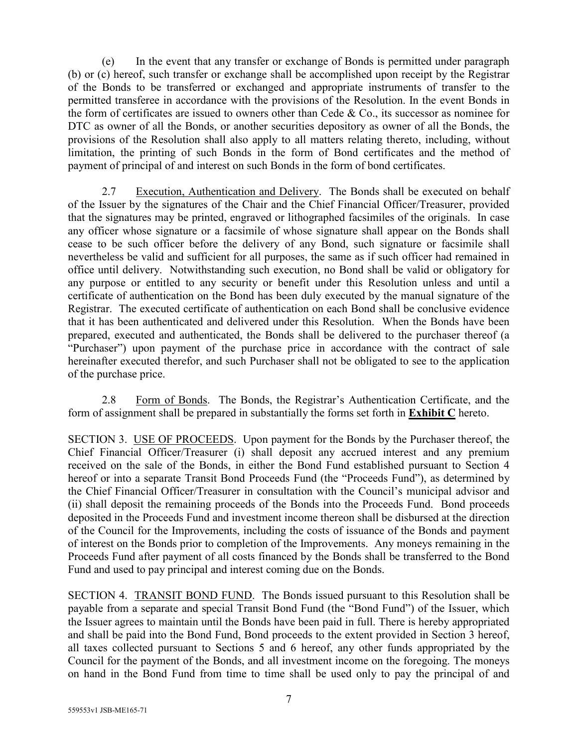(e) In the event that any transfer or exchange of Bonds is permitted under paragraph (b) or (c) hereof, such transfer or exchange shall be accomplished upon receipt by the Registrar of the Bonds to be transferred or exchanged and appropriate instruments of transfer to the permitted transferee in accordance with the provisions of the Resolution. In the event Bonds in the form of certificates are issued to owners other than Cede & Co., its successor as nominee for DTC as owner of all the Bonds, or another securities depository as owner of all the Bonds, the provisions of the Resolution shall also apply to all matters relating thereto, including, without limitation, the printing of such Bonds in the form of Bond certificates and the method of payment of principal of and interest on such Bonds in the form of bond certificates.

2.7 Execution, Authentication and Delivery. The Bonds shall be executed on behalf of the Issuer by the signatures of the Chair and the Chief Financial Officer/Treasurer, provided that the signatures may be printed, engraved or lithographed facsimiles of the originals. In case any officer whose signature or a facsimile of whose signature shall appear on the Bonds shall cease to be such officer before the delivery of any Bond, such signature or facsimile shall nevertheless be valid and sufficient for all purposes, the same as if such officer had remained in office until delivery. Notwithstanding such execution, no Bond shall be valid or obligatory for any purpose or entitled to any security or benefit under this Resolution unless and until a certificate of authentication on the Bond has been duly executed by the manual signature of the Registrar. The executed certificate of authentication on each Bond shall be conclusive evidence that it has been authenticated and delivered under this Resolution. When the Bonds have been prepared, executed and authenticated, the Bonds shall be delivered to the purchaser thereof (a "Purchaser") upon payment of the purchase price in accordance with the contract of sale hereinafter executed therefor, and such Purchaser shall not be obligated to see to the application of the purchase price.

2.8 Form of Bonds. The Bonds, the Registrar's Authentication Certificate, and the form of assignment shall be prepared in substantially the forms set forth in **Exhibit C** hereto.

SECTION 3. USE OF PROCEEDS. Upon payment for the Bonds by the Purchaser thereof, the Chief Financial Officer/Treasurer (i) shall deposit any accrued interest and any premium received on the sale of the Bonds, in either the Bond Fund established pursuant to Section 4 hereof or into a separate Transit Bond Proceeds Fund (the "Proceeds Fund"), as determined by the Chief Financial Officer/Treasurer in consultation with the Council's municipal advisor and (ii) shall deposit the remaining proceeds of the Bonds into the Proceeds Fund. Bond proceeds deposited in the Proceeds Fund and investment income thereon shall be disbursed at the direction of the Council for the Improvements, including the costs of issuance of the Bonds and payment of interest on the Bonds prior to completion of the Improvements. Any moneys remaining in the Proceeds Fund after payment of all costs financed by the Bonds shall be transferred to the Bond Fund and used to pay principal and interest coming due on the Bonds.

SECTION 4. TRANSIT BOND FUND. The Bonds issued pursuant to this Resolution shall be payable from a separate and special Transit Bond Fund (the "Bond Fund") of the Issuer, which the Issuer agrees to maintain until the Bonds have been paid in full. There is hereby appropriated and shall be paid into the Bond Fund, Bond proceeds to the extent provided in Section 3 hereof, all taxes collected pursuant to Sections 5 and 6 hereof, any other funds appropriated by the Council for the payment of the Bonds, and all investment income on the foregoing. The moneys on hand in the Bond Fund from time to time shall be used only to pay the principal of and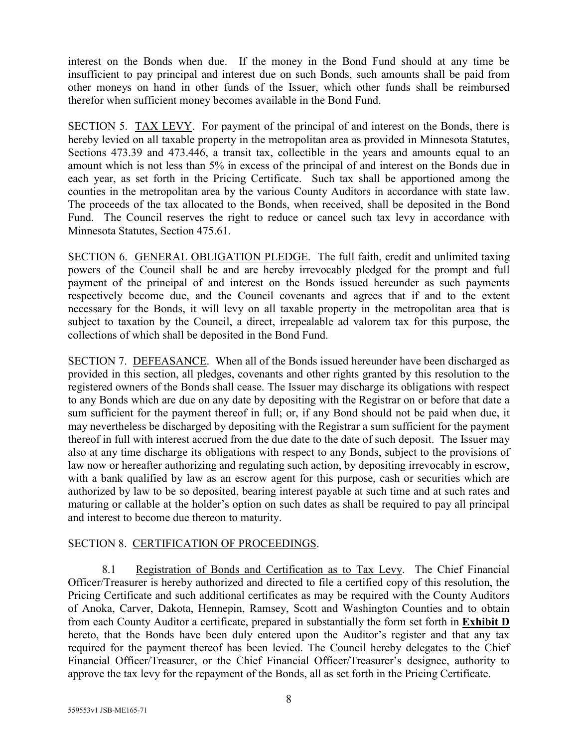interest on the Bonds when due. If the money in the Bond Fund should at any time be insufficient to pay principal and interest due on such Bonds, such amounts shall be paid from other moneys on hand in other funds of the Issuer, which other funds shall be reimbursed therefor when sufficient money becomes available in the Bond Fund.

SECTION 5. TAX LEVY. For payment of the principal of and interest on the Bonds, there is hereby levied on all taxable property in the metropolitan area as provided in Minnesota Statutes, Sections 473.39 and 473.446, a transit tax, collectible in the years and amounts equal to an amount which is not less than 5% in excess of the principal of and interest on the Bonds due in each year, as set forth in the Pricing Certificate. Such tax shall be apportioned among the counties in the metropolitan area by the various County Auditors in accordance with state law. The proceeds of the tax allocated to the Bonds, when received, shall be deposited in the Bond Fund. The Council reserves the right to reduce or cancel such tax levy in accordance with Minnesota Statutes, Section 475.61.

SECTION 6. GENERAL OBLIGATION PLEDGE. The full faith, credit and unlimited taxing powers of the Council shall be and are hereby irrevocably pledged for the prompt and full payment of the principal of and interest on the Bonds issued hereunder as such payments respectively become due, and the Council covenants and agrees that if and to the extent necessary for the Bonds, it will levy on all taxable property in the metropolitan area that is subject to taxation by the Council, a direct, irrepealable ad valorem tax for this purpose, the collections of which shall be deposited in the Bond Fund.

SECTION 7. DEFEASANCE. When all of the Bonds issued hereunder have been discharged as provided in this section, all pledges, covenants and other rights granted by this resolution to the registered owners of the Bonds shall cease. The Issuer may discharge its obligations with respect to any Bonds which are due on any date by depositing with the Registrar on or before that date a sum sufficient for the payment thereof in full; or, if any Bond should not be paid when due, it may nevertheless be discharged by depositing with the Registrar a sum sufficient for the payment thereof in full with interest accrued from the due date to the date of such deposit. The Issuer may also at any time discharge its obligations with respect to any Bonds, subject to the provisions of law now or hereafter authorizing and regulating such action, by depositing irrevocably in escrow, with a bank qualified by law as an escrow agent for this purpose, cash or securities which are authorized by law to be so deposited, bearing interest payable at such time and at such rates and maturing or callable at the holder's option on such dates as shall be required to pay all principal and interest to become due thereon to maturity.

# SECTION 8. CERTIFICATION OF PROCEEDINGS.

8.1 Registration of Bonds and Certification as to Tax Levy. The Chief Financial Officer/Treasurer is hereby authorized and directed to file a certified copy of this resolution, the Pricing Certificate and such additional certificates as may be required with the County Auditors of Anoka, Carver, Dakota, Hennepin, Ramsey, Scott and Washington Counties and to obtain from each County Auditor a certificate, prepared in substantially the form set forth in **Exhibit D** hereto, that the Bonds have been duly entered upon the Auditor's register and that any tax required for the payment thereof has been levied. The Council hereby delegates to the Chief Financial Officer/Treasurer, or the Chief Financial Officer/Treasurer's designee, authority to approve the tax levy for the repayment of the Bonds, all as set forth in the Pricing Certificate.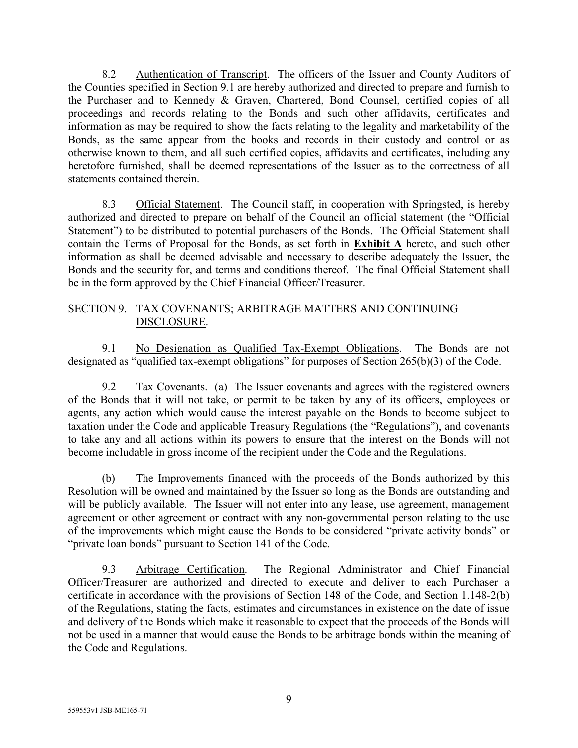8.2 Authentication of Transcript. The officers of the Issuer and County Auditors of the Counties specified in Section 9.1 are hereby authorized and directed to prepare and furnish to the Purchaser and to Kennedy & Graven, Chartered, Bond Counsel, certified copies of all proceedings and records relating to the Bonds and such other affidavits, certificates and information as may be required to show the facts relating to the legality and marketability of the Bonds, as the same appear from the books and records in their custody and control or as otherwise known to them, and all such certified copies, affidavits and certificates, including any heretofore furnished, shall be deemed representations of the Issuer as to the correctness of all statements contained therein.

8.3 Official Statement. The Council staff, in cooperation with Springsted, is hereby authorized and directed to prepare on behalf of the Council an official statement (the "Official Statement") to be distributed to potential purchasers of the Bonds. The Official Statement shall contain the Terms of Proposal for the Bonds, as set forth in **Exhibit A** hereto, and such other information as shall be deemed advisable and necessary to describe adequately the Issuer, the Bonds and the security for, and terms and conditions thereof. The final Official Statement shall be in the form approved by the Chief Financial Officer/Treasurer.

# SECTION 9. TAX COVENANTS; ARBITRAGE MATTERS AND CONTINUING DISCLOSURE.

9.1 No Designation as Qualified Tax-Exempt Obligations. The Bonds are not designated as "qualified tax-exempt obligations" for purposes of Section 265(b)(3) of the Code.

9.2 Tax Covenants. (a) The Issuer covenants and agrees with the registered owners of the Bonds that it will not take, or permit to be taken by any of its officers, employees or agents, any action which would cause the interest payable on the Bonds to become subject to taxation under the Code and applicable Treasury Regulations (the "Regulations"), and covenants to take any and all actions within its powers to ensure that the interest on the Bonds will not become includable in gross income of the recipient under the Code and the Regulations.

(b) The Improvements financed with the proceeds of the Bonds authorized by this Resolution will be owned and maintained by the Issuer so long as the Bonds are outstanding and will be publicly available. The Issuer will not enter into any lease, use agreement, management agreement or other agreement or contract with any non-governmental person relating to the use of the improvements which might cause the Bonds to be considered "private activity bonds" or "private loan bonds" pursuant to Section 141 of the Code.

9.3 Arbitrage Certification. The Regional Administrator and Chief Financial Officer/Treasurer are authorized and directed to execute and deliver to each Purchaser a certificate in accordance with the provisions of Section 148 of the Code, and Section 1.148-2(b) of the Regulations, stating the facts, estimates and circumstances in existence on the date of issue and delivery of the Bonds which make it reasonable to expect that the proceeds of the Bonds will not be used in a manner that would cause the Bonds to be arbitrage bonds within the meaning of the Code and Regulations.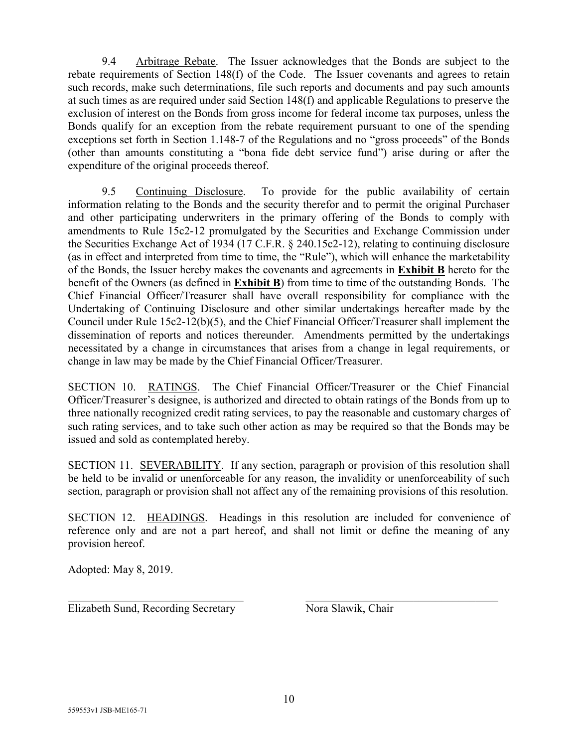9.4 Arbitrage Rebate. The Issuer acknowledges that the Bonds are subject to the rebate requirements of Section 148(f) of the Code. The Issuer covenants and agrees to retain such records, make such determinations, file such reports and documents and pay such amounts at such times as are required under said Section 148(f) and applicable Regulations to preserve the exclusion of interest on the Bonds from gross income for federal income tax purposes, unless the Bonds qualify for an exception from the rebate requirement pursuant to one of the spending exceptions set forth in Section 1.148-7 of the Regulations and no "gross proceeds" of the Bonds (other than amounts constituting a "bona fide debt service fund") arise during or after the expenditure of the original proceeds thereof.

9.5 Continuing Disclosure. To provide for the public availability of certain information relating to the Bonds and the security therefor and to permit the original Purchaser and other participating underwriters in the primary offering of the Bonds to comply with amendments to Rule 15c2-12 promulgated by the Securities and Exchange Commission under the Securities Exchange Act of 1934 (17 C.F.R. § 240.15c2-12), relating to continuing disclosure (as in effect and interpreted from time to time, the "Rule"), which will enhance the marketability of the Bonds, the Issuer hereby makes the covenants and agreements in **Exhibit B** hereto for the benefit of the Owners (as defined in **Exhibit B**) from time to time of the outstanding Bonds. The Chief Financial Officer/Treasurer shall have overall responsibility for compliance with the Undertaking of Continuing Disclosure and other similar undertakings hereafter made by the Council under Rule 15c2-12(b)(5), and the Chief Financial Officer/Treasurer shall implement the dissemination of reports and notices thereunder. Amendments permitted by the undertakings necessitated by a change in circumstances that arises from a change in legal requirements, or change in law may be made by the Chief Financial Officer/Treasurer.

SECTION 10. RATINGS. The Chief Financial Officer/Treasurer or the Chief Financial Officer/Treasurer's designee, is authorized and directed to obtain ratings of the Bonds from up to three nationally recognized credit rating services, to pay the reasonable and customary charges of such rating services, and to take such other action as may be required so that the Bonds may be issued and sold as contemplated hereby.

SECTION 11. SEVERABILITY. If any section, paragraph or provision of this resolution shall be held to be invalid or unenforceable for any reason, the invalidity or unenforceability of such section, paragraph or provision shall not affect any of the remaining provisions of this resolution.

SECTION 12. HEADINGS. Headings in this resolution are included for convenience of reference only and are not a part hereof, and shall not limit or define the meaning of any provision hereof.

Adopted: May 8, 2019.

 $\frac{1}{2}$  ,  $\frac{1}{2}$  ,  $\frac{1}{2}$  ,  $\frac{1}{2}$  ,  $\frac{1}{2}$  ,  $\frac{1}{2}$  ,  $\frac{1}{2}$  ,  $\frac{1}{2}$  ,  $\frac{1}{2}$  ,  $\frac{1}{2}$  ,  $\frac{1}{2}$  ,  $\frac{1}{2}$  ,  $\frac{1}{2}$  ,  $\frac{1}{2}$  ,  $\frac{1}{2}$  ,  $\frac{1}{2}$  ,  $\frac{1}{2}$  ,  $\frac{1}{2}$  ,  $\frac{1$ Elizabeth Sund, Recording Secretary Nora Slawik, Chair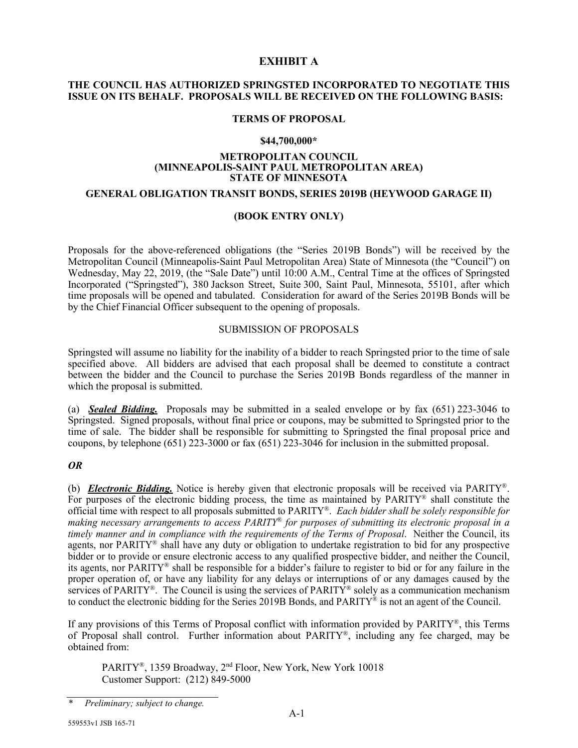## **EXHIBIT A**

#### **THE COUNCIL HAS AUTHORIZED SPRINGSTED INCORPORATED TO NEGOTIATE THIS ISSUE ON ITS BEHALF. PROPOSALS WILL BE RECEIVED ON THE FOLLOWING BASIS:**

### **TERMS OF PROPOSAL**

#### **\$44,700,000\***

#### **METROPOLITAN COUNCIL (MINNEAPOLIS-SAINT PAUL METROPOLITAN AREA) STATE OF MINNESOTA**

# **GENERAL OBLIGATION TRANSIT BONDS, SERIES 2019B (HEYWOOD GARAGE II)**

#### **(BOOK ENTRY ONLY)**

Proposals for the above-referenced obligations (the "Series 2019B Bonds") will be received by the Metropolitan Council (Minneapolis-Saint Paul Metropolitan Area) State of Minnesota (the "Council") on Wednesday, May 22, 2019, (the "Sale Date") until 10:00 A.M., Central Time at the offices of Springsted Incorporated ("Springsted"), 380 Jackson Street, Suite 300, Saint Paul, Minnesota, 55101, after which time proposals will be opened and tabulated. Consideration for award of the Series 2019B Bonds will be by the Chief Financial Officer subsequent to the opening of proposals.

#### SUBMISSION OF PROPOSALS

Springsted will assume no liability for the inability of a bidder to reach Springsted prior to the time of sale specified above. All bidders are advised that each proposal shall be deemed to constitute a contract between the bidder and the Council to purchase the Series 2019B Bonds regardless of the manner in which the proposal is submitted.

(a) *Sealed Bidding.* Proposals may be submitted in a sealed envelope or by fax (651) 223-3046 to Springsted. Signed proposals, without final price or coupons, may be submitted to Springsted prior to the time of sale. The bidder shall be responsible for submitting to Springsted the final proposal price and coupons, by telephone (651) 223-3000 or fax (651) 223-3046 for inclusion in the submitted proposal.

## *OR*

(b) *Electronic Bidding.* Notice is hereby given that electronic proposals will be received via PARITY®. For purposes of the electronic bidding process, the time as maintained by PARITY® shall constitute the official time with respect to all proposals submitted to PARITY®. *Each bidder shall be solely responsible for making necessary arrangements to access PARITY*® *for purposes of submitting its electronic proposal in a timely manner and in compliance with the requirements of the Terms of Proposal*. Neither the Council, its agents, nor PARITY® shall have any duty or obligation to undertake registration to bid for any prospective bidder or to provide or ensure electronic access to any qualified prospective bidder, and neither the Council, its agents, nor PARITY® shall be responsible for a bidder's failure to register to bid or for any failure in the proper operation of, or have any liability for any delays or interruptions of or any damages caused by the services of PARITY®. The Council is using the services of PARITY® solely as a communication mechanism to conduct the electronic bidding for the Series 2019B Bonds, and PARITY® is not an agent of the Council.

If any provisions of this Terms of Proposal conflict with information provided by PARITY®, this Terms of Proposal shall control. Further information about PARITY®, including any fee charged, may be obtained from:

PARITY®, 1359 Broadway, 2nd Floor, New York, New York 10018 Customer Support: (212) 849-5000

*<sup>\*</sup> Preliminary; subject to change.*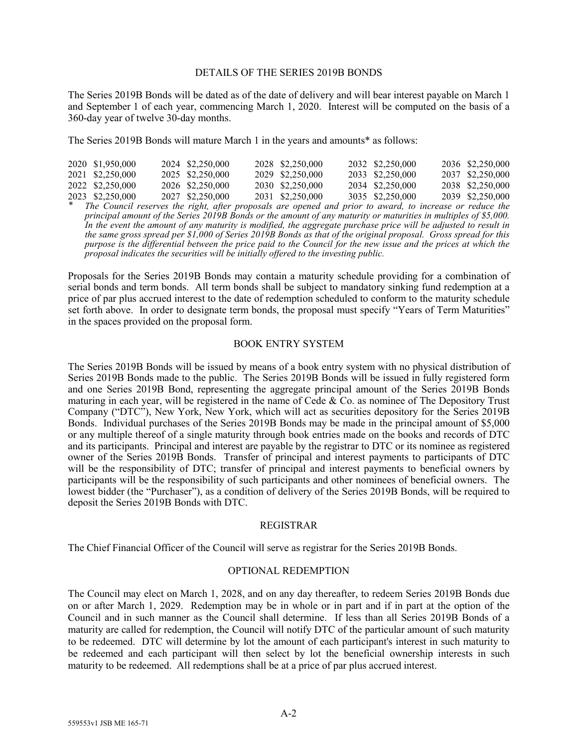#### DETAILS OF THE SERIES 2019B BONDS

The Series 2019B Bonds will be dated as of the date of delivery and will bear interest payable on March 1 and September 1 of each year, commencing March 1, 2020. Interest will be computed on the basis of a 360-day year of twelve 30-day months.

The Series 2019B Bonds will mature March 1 in the years and amounts\* as follows:

| 2020 \$1,950,000 | 2024 \$2,250,000 | 2028 \$2,250,000 | 2032 \$2,250,000 | 2036 \$2,250,000 |
|------------------|------------------|------------------|------------------|------------------|
| 2021 \$2,250,000 | 2025 \$2,250,000 | 2029 \$2,250,000 | 2033 \$2,250,000 | 2037 \$2,250,000 |
| 2022 \$2,250,000 | 2026 \$2,250,000 | 2030 \$2,250,000 | 2034 \$2,250,000 | 2038 \$2,250,000 |
| 2023 \$2,250,000 | 2027 \$2,250,000 | 2031 \$2,250,000 | 3035 \$2,250,000 | 2039 \$2,250,000 |
|                  |                  |                  |                  |                  |

The Council reserves the right, after proposals are opened and prior to award, to increase or reduce the *principal amount of the Series 2019B Bonds or the amount of any maturity or maturities in multiples of \$5,000. In the event the amount of any maturity is modified, the aggregate purchase price will be adjusted to result in the same gross spread per \$1,000 of Series 2019B Bonds as that of the original proposal. Gross spread for this purpose is the differential between the price paid to the Council for the new issue and the prices at which the proposal indicates the securities will be initially offered to the investing public.*

Proposals for the Series 2019B Bonds may contain a maturity schedule providing for a combination of serial bonds and term bonds. All term bonds shall be subject to mandatory sinking fund redemption at a price of par plus accrued interest to the date of redemption scheduled to conform to the maturity schedule set forth above. In order to designate term bonds, the proposal must specify "Years of Term Maturities" in the spaces provided on the proposal form.

#### BOOK ENTRY SYSTEM

The Series 2019B Bonds will be issued by means of a book entry system with no physical distribution of Series 2019B Bonds made to the public. The Series 2019B Bonds will be issued in fully registered form and one Series 2019B Bond, representing the aggregate principal amount of the Series 2019B Bonds maturing in each year, will be registered in the name of Cede  $\&$  Co. as nominee of The Depository Trust Company ("DTC"), New York, New York, which will act as securities depository for the Series 2019B Bonds. Individual purchases of the Series 2019B Bonds may be made in the principal amount of \$5,000 or any multiple thereof of a single maturity through book entries made on the books and records of DTC and its participants. Principal and interest are payable by the registrar to DTC or its nominee as registered owner of the Series 2019B Bonds. Transfer of principal and interest payments to participants of DTC will be the responsibility of DTC; transfer of principal and interest payments to beneficial owners by participants will be the responsibility of such participants and other nominees of beneficial owners. The lowest bidder (the "Purchaser"), as a condition of delivery of the Series 2019B Bonds, will be required to deposit the Series 2019B Bonds with DTC.

#### REGISTRAR

The Chief Financial Officer of the Council will serve as registrar for the Series 2019B Bonds.

#### OPTIONAL REDEMPTION

The Council may elect on March 1, 2028, and on any day thereafter, to redeem Series 2019B Bonds due on or after March 1, 2029. Redemption may be in whole or in part and if in part at the option of the Council and in such manner as the Council shall determine. If less than all Series 2019B Bonds of a maturity are called for redemption, the Council will notify DTC of the particular amount of such maturity to be redeemed. DTC will determine by lot the amount of each participant's interest in such maturity to be redeemed and each participant will then select by lot the beneficial ownership interests in such maturity to be redeemed. All redemptions shall be at a price of par plus accrued interest.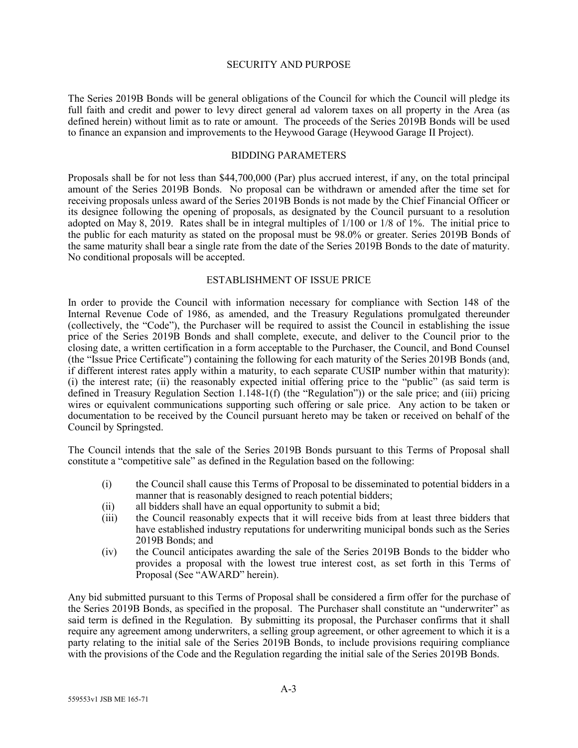#### SECURITY AND PURPOSE

The Series 2019B Bonds will be general obligations of the Council for which the Council will pledge its full faith and credit and power to levy direct general ad valorem taxes on all property in the Area (as defined herein) without limit as to rate or amount. The proceeds of the Series 2019B Bonds will be used to finance an expansion and improvements to the Heywood Garage (Heywood Garage II Project).

#### BIDDING PARAMETERS

Proposals shall be for not less than \$44,700,000 (Par) plus accrued interest, if any, on the total principal amount of the Series 2019B Bonds. No proposal can be withdrawn or amended after the time set for receiving proposals unless award of the Series 2019B Bonds is not made by the Chief Financial Officer or its designee following the opening of proposals, as designated by the Council pursuant to a resolution adopted on May 8, 2019. Rates shall be in integral multiples of 1/100 or 1/8 of 1%. The initial price to the public for each maturity as stated on the proposal must be 98.0% or greater. Series 2019B Bonds of the same maturity shall bear a single rate from the date of the Series 2019B Bonds to the date of maturity. No conditional proposals will be accepted.

#### ESTABLISHMENT OF ISSUE PRICE

In order to provide the Council with information necessary for compliance with Section 148 of the Internal Revenue Code of 1986, as amended, and the Treasury Regulations promulgated thereunder (collectively, the "Code"), the Purchaser will be required to assist the Council in establishing the issue price of the Series 2019B Bonds and shall complete, execute, and deliver to the Council prior to the closing date, a written certification in a form acceptable to the Purchaser, the Council, and Bond Counsel (the "Issue Price Certificate") containing the following for each maturity of the Series 2019B Bonds (and, if different interest rates apply within a maturity, to each separate CUSIP number within that maturity): (i) the interest rate; (ii) the reasonably expected initial offering price to the "public" (as said term is defined in Treasury Regulation Section 1.148-1(f) (the "Regulation")) or the sale price; and (iii) pricing wires or equivalent communications supporting such offering or sale price. Any action to be taken or documentation to be received by the Council pursuant hereto may be taken or received on behalf of the Council by Springsted.

The Council intends that the sale of the Series 2019B Bonds pursuant to this Terms of Proposal shall constitute a "competitive sale" as defined in the Regulation based on the following:

- (i) the Council shall cause this Terms of Proposal to be disseminated to potential bidders in a manner that is reasonably designed to reach potential bidders;
- (ii) all bidders shall have an equal opportunity to submit a bid;
- (iii) the Council reasonably expects that it will receive bids from at least three bidders that have established industry reputations for underwriting municipal bonds such as the Series 2019B Bonds; and
- (iv) the Council anticipates awarding the sale of the Series 2019B Bonds to the bidder who provides a proposal with the lowest true interest cost, as set forth in this Terms of Proposal (See "AWARD" herein).

Any bid submitted pursuant to this Terms of Proposal shall be considered a firm offer for the purchase of the Series 2019B Bonds, as specified in the proposal. The Purchaser shall constitute an "underwriter" as said term is defined in the Regulation. By submitting its proposal, the Purchaser confirms that it shall require any agreement among underwriters, a selling group agreement, or other agreement to which it is a party relating to the initial sale of the Series 2019B Bonds, to include provisions requiring compliance with the provisions of the Code and the Regulation regarding the initial sale of the Series 2019B Bonds.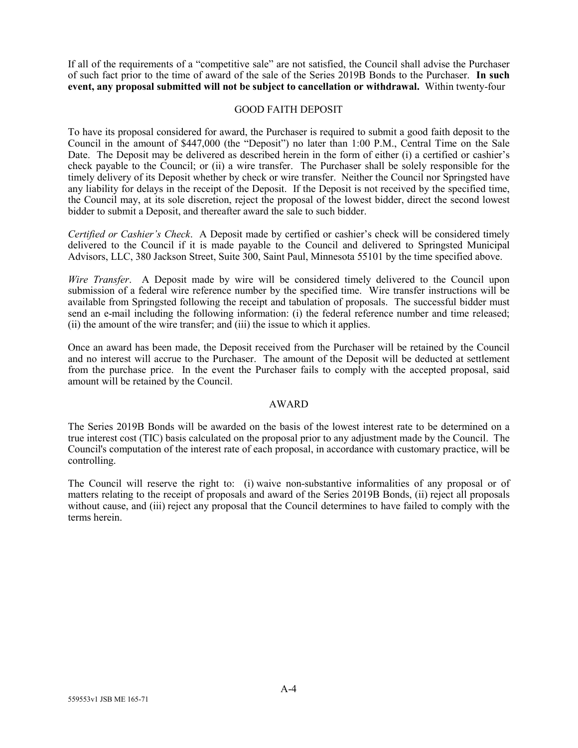If all of the requirements of a "competitive sale" are not satisfied, the Council shall advise the Purchaser of such fact prior to the time of award of the sale of the Series 2019B Bonds to the Purchaser. **In such event, any proposal submitted will not be subject to cancellation or withdrawal.** Within twenty-four

#### GOOD FAITH DEPOSIT

To have its proposal considered for award, the Purchaser is required to submit a good faith deposit to the Council in the amount of \$447,000 (the "Deposit") no later than 1:00 P.M., Central Time on the Sale Date. The Deposit may be delivered as described herein in the form of either (i) a certified or cashier's check payable to the Council; or (ii) a wire transfer. The Purchaser shall be solely responsible for the timely delivery of its Deposit whether by check or wire transfer. Neither the Council nor Springsted have any liability for delays in the receipt of the Deposit. If the Deposit is not received by the specified time, the Council may, at its sole discretion, reject the proposal of the lowest bidder, direct the second lowest bidder to submit a Deposit, and thereafter award the sale to such bidder.

*Certified or Cashier's Check*. A Deposit made by certified or cashier's check will be considered timely delivered to the Council if it is made payable to the Council and delivered to Springsted Municipal Advisors, LLC, 380 Jackson Street, Suite 300, Saint Paul, Minnesota 55101 by the time specified above.

*Wire Transfer*. A Deposit made by wire will be considered timely delivered to the Council upon submission of a federal wire reference number by the specified time. Wire transfer instructions will be available from Springsted following the receipt and tabulation of proposals. The successful bidder must send an e-mail including the following information: (i) the federal reference number and time released; (ii) the amount of the wire transfer; and (iii) the issue to which it applies.

Once an award has been made, the Deposit received from the Purchaser will be retained by the Council and no interest will accrue to the Purchaser. The amount of the Deposit will be deducted at settlement from the purchase price. In the event the Purchaser fails to comply with the accepted proposal, said amount will be retained by the Council.

#### AWARD

The Series 2019B Bonds will be awarded on the basis of the lowest interest rate to be determined on a true interest cost (TIC) basis calculated on the proposal prior to any adjustment made by the Council. The Council's computation of the interest rate of each proposal, in accordance with customary practice, will be controlling.

The Council will reserve the right to: (i) waive non-substantive informalities of any proposal or of matters relating to the receipt of proposals and award of the Series 2019B Bonds, (ii) reject all proposals without cause, and (iii) reject any proposal that the Council determines to have failed to comply with the terms herein.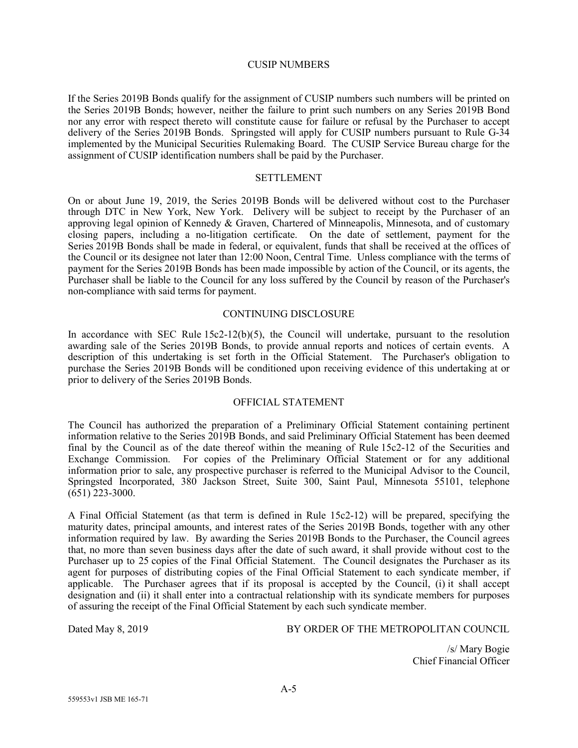#### CUSIP NUMBERS

If the Series 2019B Bonds qualify for the assignment of CUSIP numbers such numbers will be printed on the Series 2019B Bonds; however, neither the failure to print such numbers on any Series 2019B Bond nor any error with respect thereto will constitute cause for failure or refusal by the Purchaser to accept delivery of the Series 2019B Bonds. Springsted will apply for CUSIP numbers pursuant to Rule G-34 implemented by the Municipal Securities Rulemaking Board. The CUSIP Service Bureau charge for the assignment of CUSIP identification numbers shall be paid by the Purchaser.

#### SETTLEMENT

On or about June 19, 2019, the Series 2019B Bonds will be delivered without cost to the Purchaser through DTC in New York, New York. Delivery will be subject to receipt by the Purchaser of an approving legal opinion of Kennedy & Graven, Chartered of Minneapolis, Minnesota, and of customary closing papers, including a no-litigation certificate. On the date of settlement, payment for the Series 2019B Bonds shall be made in federal, or equivalent, funds that shall be received at the offices of the Council or its designee not later than 12:00 Noon, Central Time. Unless compliance with the terms of payment for the Series 2019B Bonds has been made impossible by action of the Council, or its agents, the Purchaser shall be liable to the Council for any loss suffered by the Council by reason of the Purchaser's non-compliance with said terms for payment.

#### CONTINUING DISCLOSURE

In accordance with SEC Rule  $15c2-12(b)(5)$ , the Council will undertake, pursuant to the resolution awarding sale of the Series 2019B Bonds, to provide annual reports and notices of certain events. A description of this undertaking is set forth in the Official Statement. The Purchaser's obligation to purchase the Series 2019B Bonds will be conditioned upon receiving evidence of this undertaking at or prior to delivery of the Series 2019B Bonds.

## OFFICIAL STATEMENT

The Council has authorized the preparation of a Preliminary Official Statement containing pertinent information relative to the Series 2019B Bonds, and said Preliminary Official Statement has been deemed final by the Council as of the date thereof within the meaning of Rule 15c2-12 of the Securities and Exchange Commission. For copies of the Preliminary Official Statement or for any additional information prior to sale, any prospective purchaser is referred to the Municipal Advisor to the Council, Springsted Incorporated, 380 Jackson Street, Suite 300, Saint Paul, Minnesota 55101, telephone  $(651)$  223-3000.

A Final Official Statement (as that term is defined in Rule 15c2-12) will be prepared, specifying the maturity dates, principal amounts, and interest rates of the Series 2019B Bonds, together with any other information required by law. By awarding the Series 2019B Bonds to the Purchaser, the Council agrees that, no more than seven business days after the date of such award, it shall provide without cost to the Purchaser up to 25 copies of the Final Official Statement. The Council designates the Purchaser as its agent for purposes of distributing copies of the Final Official Statement to each syndicate member, if applicable. The Purchaser agrees that if its proposal is accepted by the Council, (i) it shall accept designation and (ii) it shall enter into a contractual relationship with its syndicate members for purposes of assuring the receipt of the Final Official Statement by each such syndicate member.

Dated May 8, 2019 BY ORDER OF THE METROPOLITAN COUNCIL

/s/ Mary Bogie Chief Financial Officer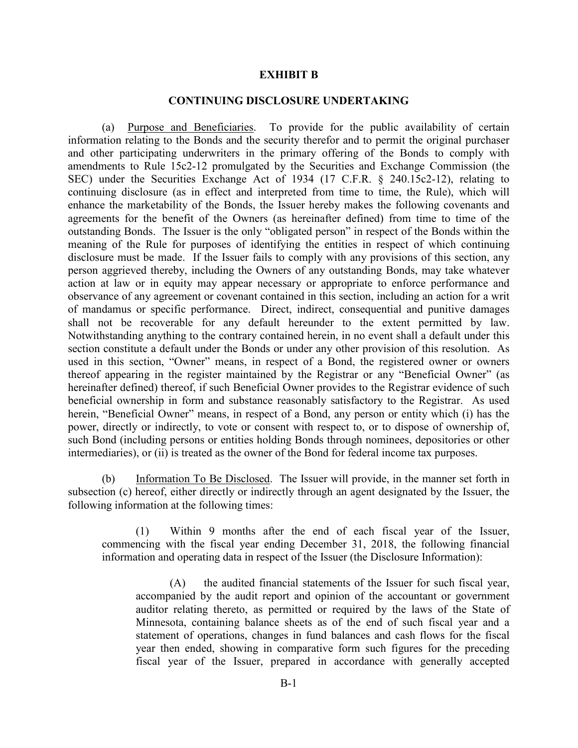### **EXHIBIT B**

## **CONTINUING DISCLOSURE UNDERTAKING**

(a) Purpose and Beneficiaries. To provide for the public availability of certain information relating to the Bonds and the security therefor and to permit the original purchaser and other participating underwriters in the primary offering of the Bonds to comply with amendments to Rule 15c2-12 promulgated by the Securities and Exchange Commission (the SEC) under the Securities Exchange Act of 1934 (17 C.F.R. § 240.15c2-12), relating to continuing disclosure (as in effect and interpreted from time to time, the Rule), which will enhance the marketability of the Bonds, the Issuer hereby makes the following covenants and agreements for the benefit of the Owners (as hereinafter defined) from time to time of the outstanding Bonds. The Issuer is the only "obligated person" in respect of the Bonds within the meaning of the Rule for purposes of identifying the entities in respect of which continuing disclosure must be made. If the Issuer fails to comply with any provisions of this section, any person aggrieved thereby, including the Owners of any outstanding Bonds, may take whatever action at law or in equity may appear necessary or appropriate to enforce performance and observance of any agreement or covenant contained in this section, including an action for a writ of mandamus or specific performance. Direct, indirect, consequential and punitive damages shall not be recoverable for any default hereunder to the extent permitted by law. Notwithstanding anything to the contrary contained herein, in no event shall a default under this section constitute a default under the Bonds or under any other provision of this resolution. As used in this section, "Owner" means, in respect of a Bond, the registered owner or owners thereof appearing in the register maintained by the Registrar or any "Beneficial Owner" (as hereinafter defined) thereof, if such Beneficial Owner provides to the Registrar evidence of such beneficial ownership in form and substance reasonably satisfactory to the Registrar. As used herein, "Beneficial Owner" means, in respect of a Bond, any person or entity which (i) has the power, directly or indirectly, to vote or consent with respect to, or to dispose of ownership of, such Bond (including persons or entities holding Bonds through nominees, depositories or other intermediaries), or (ii) is treated as the owner of the Bond for federal income tax purposes.

(b) Information To Be Disclosed. The Issuer will provide, in the manner set forth in subsection (c) hereof, either directly or indirectly through an agent designated by the Issuer, the following information at the following times:

(1) Within 9 months after the end of each fiscal year of the Issuer, commencing with the fiscal year ending December 31, 2018, the following financial information and operating data in respect of the Issuer (the Disclosure Information):

(A) the audited financial statements of the Issuer for such fiscal year, accompanied by the audit report and opinion of the accountant or government auditor relating thereto, as permitted or required by the laws of the State of Minnesota, containing balance sheets as of the end of such fiscal year and a statement of operations, changes in fund balances and cash flows for the fiscal year then ended, showing in comparative form such figures for the preceding fiscal year of the Issuer, prepared in accordance with generally accepted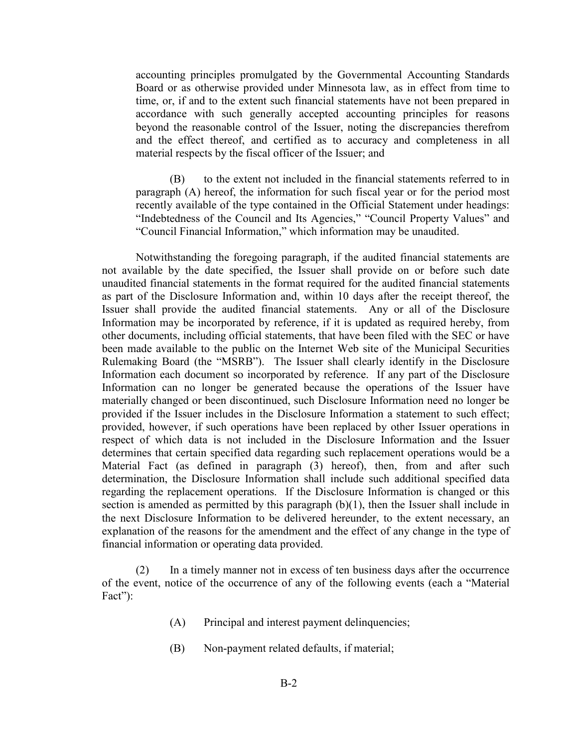accounting principles promulgated by the Governmental Accounting Standards Board or as otherwise provided under Minnesota law, as in effect from time to time, or, if and to the extent such financial statements have not been prepared in accordance with such generally accepted accounting principles for reasons beyond the reasonable control of the Issuer, noting the discrepancies therefrom and the effect thereof, and certified as to accuracy and completeness in all material respects by the fiscal officer of the Issuer; and

(B) to the extent not included in the financial statements referred to in paragraph (A) hereof, the information for such fiscal year or for the period most recently available of the type contained in the Official Statement under headings: "Indebtedness of the Council and Its Agencies," "Council Property Values" and "Council Financial Information," which information may be unaudited.

Notwithstanding the foregoing paragraph, if the audited financial statements are not available by the date specified, the Issuer shall provide on or before such date unaudited financial statements in the format required for the audited financial statements as part of the Disclosure Information and, within 10 days after the receipt thereof, the Issuer shall provide the audited financial statements. Any or all of the Disclosure Information may be incorporated by reference, if it is updated as required hereby, from other documents, including official statements, that have been filed with the SEC or have been made available to the public on the Internet Web site of the Municipal Securities Rulemaking Board (the "MSRB"). The Issuer shall clearly identify in the Disclosure Information each document so incorporated by reference. If any part of the Disclosure Information can no longer be generated because the operations of the Issuer have materially changed or been discontinued, such Disclosure Information need no longer be provided if the Issuer includes in the Disclosure Information a statement to such effect; provided, however, if such operations have been replaced by other Issuer operations in respect of which data is not included in the Disclosure Information and the Issuer determines that certain specified data regarding such replacement operations would be a Material Fact (as defined in paragraph (3) hereof), then, from and after such determination, the Disclosure Information shall include such additional specified data regarding the replacement operations. If the Disclosure Information is changed or this section is amended as permitted by this paragraph  $(b)(1)$ , then the Issuer shall include in the next Disclosure Information to be delivered hereunder, to the extent necessary, an explanation of the reasons for the amendment and the effect of any change in the type of financial information or operating data provided.

(2) In a timely manner not in excess of ten business days after the occurrence of the event, notice of the occurrence of any of the following events (each a "Material Fact"):

- (A) Principal and interest payment delinquencies;
- (B) Non-payment related defaults, if material;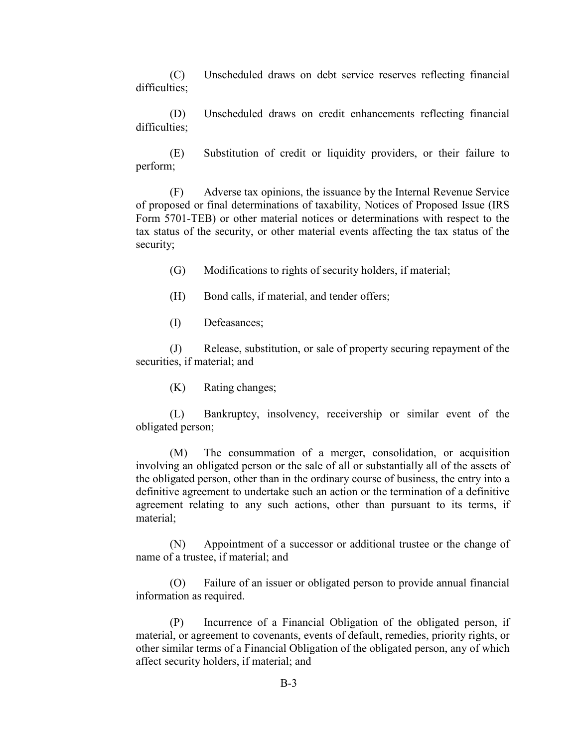(C) Unscheduled draws on debt service reserves reflecting financial difficulties;

(D) Unscheduled draws on credit enhancements reflecting financial difficulties;

(E) Substitution of credit or liquidity providers, or their failure to perform;

(F) Adverse tax opinions, the issuance by the Internal Revenue Service of proposed or final determinations of taxability, Notices of Proposed Issue (IRS Form 5701-TEB) or other material notices or determinations with respect to the tax status of the security, or other material events affecting the tax status of the security;

(G) Modifications to rights of security holders, if material;

- (H) Bond calls, if material, and tender offers;
- (I) Defeasances;

(J) Release, substitution, or sale of property securing repayment of the securities, if material; and

(K) Rating changes;

(L) Bankruptcy, insolvency, receivership or similar event of the obligated person;

(M) The consummation of a merger, consolidation, or acquisition involving an obligated person or the sale of all or substantially all of the assets of the obligated person, other than in the ordinary course of business, the entry into a definitive agreement to undertake such an action or the termination of a definitive agreement relating to any such actions, other than pursuant to its terms, if material;

(N) Appointment of a successor or additional trustee or the change of name of a trustee, if material; and

(O) Failure of an issuer or obligated person to provide annual financial information as required.

(P) Incurrence of a Financial Obligation of the obligated person, if material, or agreement to covenants, events of default, remedies, priority rights, or other similar terms of a Financial Obligation of the obligated person, any of which affect security holders, if material; and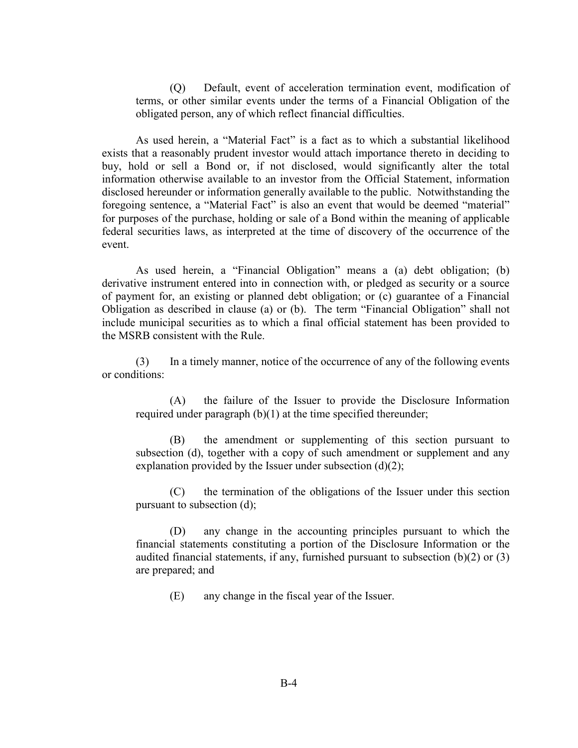(Q) Default, event of acceleration termination event, modification of terms, or other similar events under the terms of a Financial Obligation of the obligated person, any of which reflect financial difficulties.

As used herein, a "Material Fact" is a fact as to which a substantial likelihood exists that a reasonably prudent investor would attach importance thereto in deciding to buy, hold or sell a Bond or, if not disclosed, would significantly alter the total information otherwise available to an investor from the Official Statement, information disclosed hereunder or information generally available to the public. Notwithstanding the foregoing sentence, a "Material Fact" is also an event that would be deemed "material" for purposes of the purchase, holding or sale of a Bond within the meaning of applicable federal securities laws, as interpreted at the time of discovery of the occurrence of the event.

As used herein, a "Financial Obligation" means a (a) debt obligation; (b) derivative instrument entered into in connection with, or pledged as security or a source of payment for, an existing or planned debt obligation; or (c) guarantee of a Financial Obligation as described in clause (a) or (b). The term "Financial Obligation" shall not include municipal securities as to which a final official statement has been provided to the MSRB consistent with the Rule.

(3) In a timely manner, notice of the occurrence of any of the following events or conditions:

(A) the failure of the Issuer to provide the Disclosure Information required under paragraph (b)(1) at the time specified thereunder;

(B) the amendment or supplementing of this section pursuant to subsection (d), together with a copy of such amendment or supplement and any explanation provided by the Issuer under subsection  $(d)(2)$ ;

(C) the termination of the obligations of the Issuer under this section pursuant to subsection (d);

(D) any change in the accounting principles pursuant to which the financial statements constituting a portion of the Disclosure Information or the audited financial statements, if any, furnished pursuant to subsection (b)(2) or (3) are prepared; and

(E) any change in the fiscal year of the Issuer.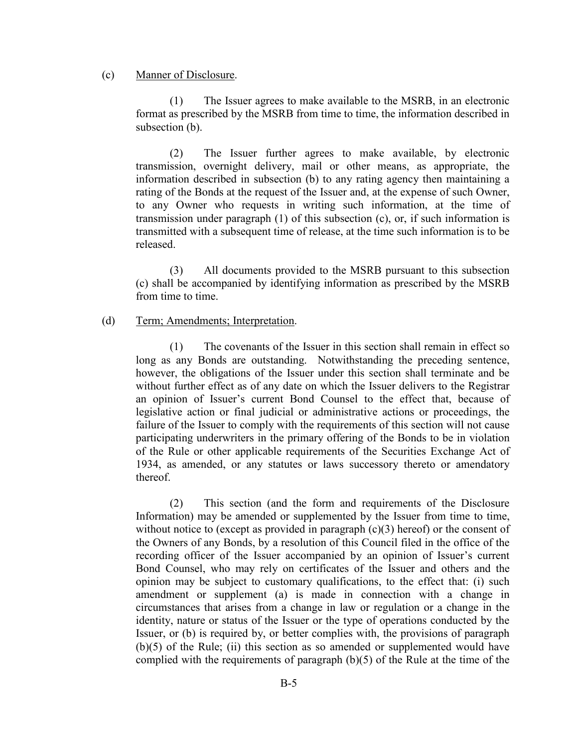# (c) Manner of Disclosure.

(1) The Issuer agrees to make available to the MSRB, in an electronic format as prescribed by the MSRB from time to time, the information described in subsection (b).

(2) The Issuer further agrees to make available, by electronic transmission, overnight delivery, mail or other means, as appropriate, the information described in subsection (b) to any rating agency then maintaining a rating of the Bonds at the request of the Issuer and, at the expense of such Owner, to any Owner who requests in writing such information, at the time of transmission under paragraph (1) of this subsection (c), or, if such information is transmitted with a subsequent time of release, at the time such information is to be released.

(3) All documents provided to the MSRB pursuant to this subsection (c) shall be accompanied by identifying information as prescribed by the MSRB from time to time.

#### (d) Term; Amendments; Interpretation.

(1) The covenants of the Issuer in this section shall remain in effect so long as any Bonds are outstanding. Notwithstanding the preceding sentence, however, the obligations of the Issuer under this section shall terminate and be without further effect as of any date on which the Issuer delivers to the Registrar an opinion of Issuer's current Bond Counsel to the effect that, because of legislative action or final judicial or administrative actions or proceedings, the failure of the Issuer to comply with the requirements of this section will not cause participating underwriters in the primary offering of the Bonds to be in violation of the Rule or other applicable requirements of the Securities Exchange Act of 1934, as amended, or any statutes or laws successory thereto or amendatory thereof.

(2) This section (and the form and requirements of the Disclosure Information) may be amended or supplemented by the Issuer from time to time, without notice to (except as provided in paragraph  $(c)(3)$  hereof) or the consent of the Owners of any Bonds, by a resolution of this Council filed in the office of the recording officer of the Issuer accompanied by an opinion of Issuer's current Bond Counsel, who may rely on certificates of the Issuer and others and the opinion may be subject to customary qualifications, to the effect that: (i) such amendment or supplement (a) is made in connection with a change in circumstances that arises from a change in law or regulation or a change in the identity, nature or status of the Issuer or the type of operations conducted by the Issuer, or (b) is required by, or better complies with, the provisions of paragraph (b)(5) of the Rule; (ii) this section as so amended or supplemented would have complied with the requirements of paragraph  $(b)(5)$  of the Rule at the time of the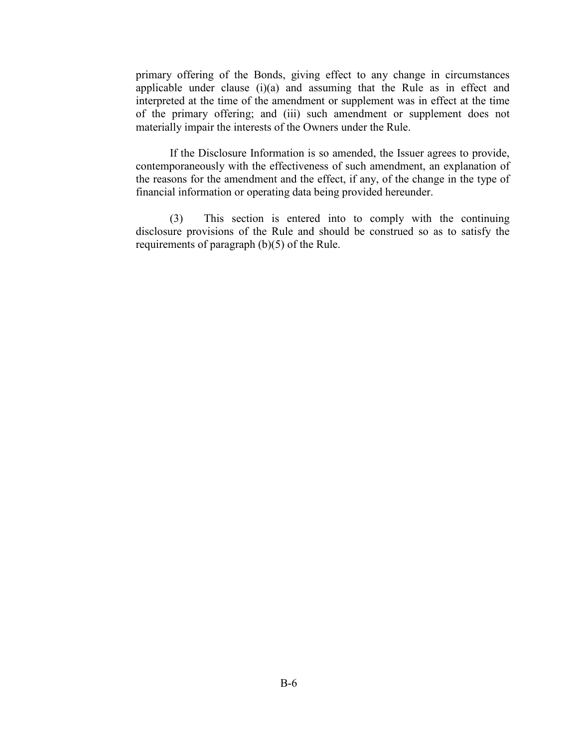primary offering of the Bonds, giving effect to any change in circumstances applicable under clause (i)(a) and assuming that the Rule as in effect and interpreted at the time of the amendment or supplement was in effect at the time of the primary offering; and (iii) such amendment or supplement does not materially impair the interests of the Owners under the Rule.

If the Disclosure Information is so amended, the Issuer agrees to provide, contemporaneously with the effectiveness of such amendment, an explanation of the reasons for the amendment and the effect, if any, of the change in the type of financial information or operating data being provided hereunder.

(3) This section is entered into to comply with the continuing disclosure provisions of the Rule and should be construed so as to satisfy the requirements of paragraph (b)(5) of the Rule.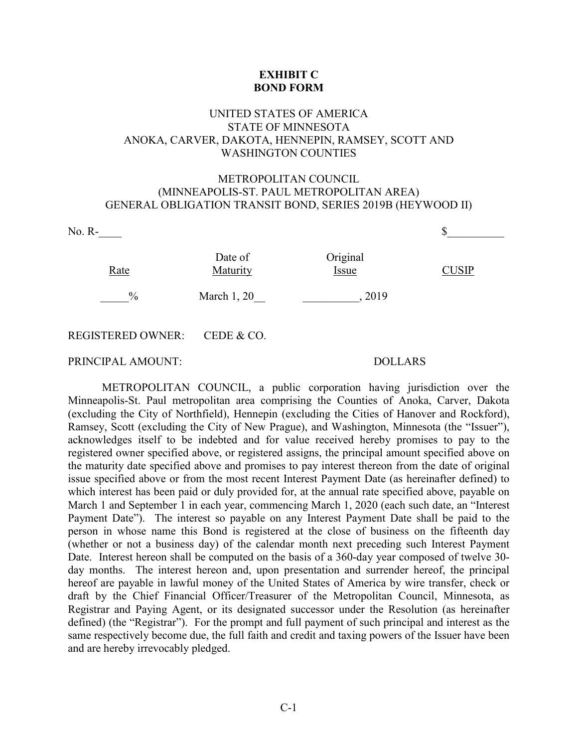## **EXHIBIT C BOND FORM**

# UNITED STATES OF AMERICA STATE OF MINNESOTA ANOKA, CARVER, DAKOTA, HENNEPIN, RAMSEY, SCOTT AND WASHINGTON COUNTIES

## METROPOLITAN COUNCIL (MINNEAPOLIS-ST. PAUL METROPOLITAN AREA) GENERAL OBLIGATION TRANSIT BOND, SERIES 2019B (HEYWOOD II)

| $No. R-$                 |                     |                   |              |  |
|--------------------------|---------------------|-------------------|--------------|--|
| Rate                     | Date of<br>Maturity | Original<br>Issue | <b>CUSIP</b> |  |
| $\%$                     | March $1, 20$       | 2019              |              |  |
| <b>REGISTERED OWNER:</b> | CEDE & CO.          |                   |              |  |

## PRINCIPAL AMOUNT: DOLLARS

METROPOLITAN COUNCIL, a public corporation having jurisdiction over the Minneapolis-St. Paul metropolitan area comprising the Counties of Anoka, Carver, Dakota (excluding the City of Northfield), Hennepin (excluding the Cities of Hanover and Rockford), Ramsey, Scott (excluding the City of New Prague), and Washington, Minnesota (the "Issuer"), acknowledges itself to be indebted and for value received hereby promises to pay to the registered owner specified above, or registered assigns, the principal amount specified above on the maturity date specified above and promises to pay interest thereon from the date of original issue specified above or from the most recent Interest Payment Date (as hereinafter defined) to which interest has been paid or duly provided for, at the annual rate specified above, payable on March 1 and September 1 in each year, commencing March 1, 2020 (each such date, an "Interest Payment Date"). The interest so payable on any Interest Payment Date shall be paid to the person in whose name this Bond is registered at the close of business on the fifteenth day (whether or not a business day) of the calendar month next preceding such Interest Payment Date. Interest hereon shall be computed on the basis of a 360-day year composed of twelve 30 day months. The interest hereon and, upon presentation and surrender hereof, the principal hereof are payable in lawful money of the United States of America by wire transfer, check or draft by the Chief Financial Officer/Treasurer of the Metropolitan Council, Minnesota, as Registrar and Paying Agent, or its designated successor under the Resolution (as hereinafter defined) (the "Registrar"). For the prompt and full payment of such principal and interest as the same respectively become due, the full faith and credit and taxing powers of the Issuer have been and are hereby irrevocably pledged.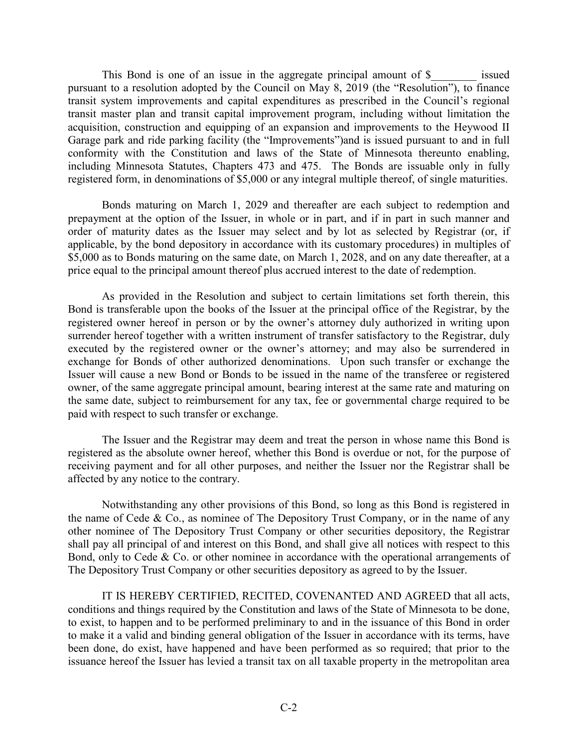This Bond is one of an issue in the aggregate principal amount of \$ \_\_\_\_\_\_\_ issued pursuant to a resolution adopted by the Council on May 8, 2019 (the "Resolution"), to finance transit system improvements and capital expenditures as prescribed in the Council's regional transit master plan and transit capital improvement program, including without limitation the acquisition, construction and equipping of an expansion and improvements to the Heywood II Garage park and ride parking facility (the "Improvements")and is issued pursuant to and in full conformity with the Constitution and laws of the State of Minnesota thereunto enabling, including Minnesota Statutes, Chapters 473 and 475. The Bonds are issuable only in fully registered form, in denominations of \$5,000 or any integral multiple thereof, of single maturities.

Bonds maturing on March 1, 2029 and thereafter are each subject to redemption and prepayment at the option of the Issuer, in whole or in part, and if in part in such manner and order of maturity dates as the Issuer may select and by lot as selected by Registrar (or, if applicable, by the bond depository in accordance with its customary procedures) in multiples of \$5,000 as to Bonds maturing on the same date, on March 1, 2028, and on any date thereafter, at a price equal to the principal amount thereof plus accrued interest to the date of redemption.

As provided in the Resolution and subject to certain limitations set forth therein, this Bond is transferable upon the books of the Issuer at the principal office of the Registrar, by the registered owner hereof in person or by the owner's attorney duly authorized in writing upon surrender hereof together with a written instrument of transfer satisfactory to the Registrar, duly executed by the registered owner or the owner's attorney; and may also be surrendered in exchange for Bonds of other authorized denominations. Upon such transfer or exchange the Issuer will cause a new Bond or Bonds to be issued in the name of the transferee or registered owner, of the same aggregate principal amount, bearing interest at the same rate and maturing on the same date, subject to reimbursement for any tax, fee or governmental charge required to be paid with respect to such transfer or exchange.

The Issuer and the Registrar may deem and treat the person in whose name this Bond is registered as the absolute owner hereof, whether this Bond is overdue or not, for the purpose of receiving payment and for all other purposes, and neither the Issuer nor the Registrar shall be affected by any notice to the contrary.

Notwithstanding any other provisions of this Bond, so long as this Bond is registered in the name of Cede & Co., as nominee of The Depository Trust Company, or in the name of any other nominee of The Depository Trust Company or other securities depository, the Registrar shall pay all principal of and interest on this Bond, and shall give all notices with respect to this Bond, only to Cede & Co. or other nominee in accordance with the operational arrangements of The Depository Trust Company or other securities depository as agreed to by the Issuer.

IT IS HEREBY CERTIFIED, RECITED, COVENANTED AND AGREED that all acts, conditions and things required by the Constitution and laws of the State of Minnesota to be done, to exist, to happen and to be performed preliminary to and in the issuance of this Bond in order to make it a valid and binding general obligation of the Issuer in accordance with its terms, have been done, do exist, have happened and have been performed as so required; that prior to the issuance hereof the Issuer has levied a transit tax on all taxable property in the metropolitan area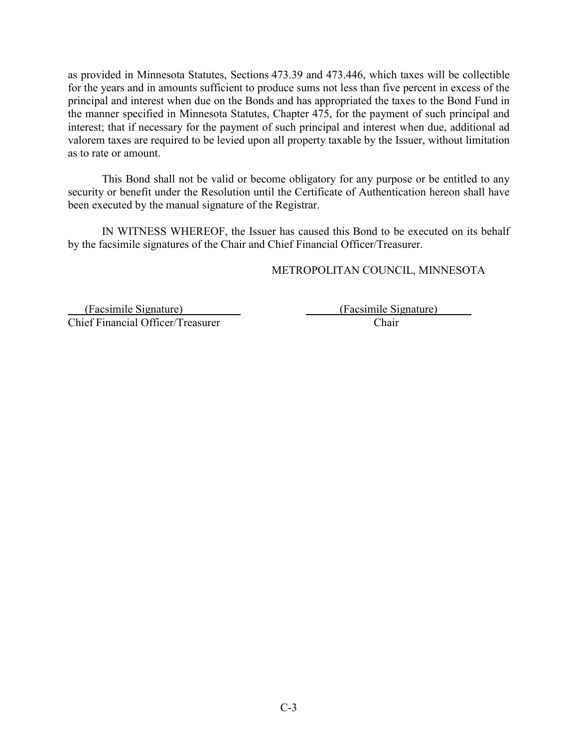as provided in Minnesota Statutes, Sections 473.39 and 473.446, which taxes will be collectible for the years and in amounts sufficient to produce sums not less than five percent in excess of the principal and interest when due on the Bonds and has appropriated the taxes to the Bond Fund in the manner specified in Minnesota Statutes, Chapter 475, for the payment of such principal and interest; that if necessary for the payment of such principal and interest when due, additional ad valorem taxes are required to be levied upon all property taxable by the Issuer, without limitation as to rate or amount.

This Bond shall not be valid or become obligatory for any purpose or be entitled to any security or benefit under the Resolution until the Certificate of Authentication hereon shall have been executed by the manual signature of the Registrar.

IN WITNESS WHEREOF, the Issuer has caused this Bond to be executed on its behalf by the facsimile signatures of the Chair and Chief Financial Officer/Treasurer.

# METROPOLITAN COUNCIL, MINNESOTA

 (Facsimile Signature) (Facsimile Signature) Chief Financial Officer/Treasurer Chair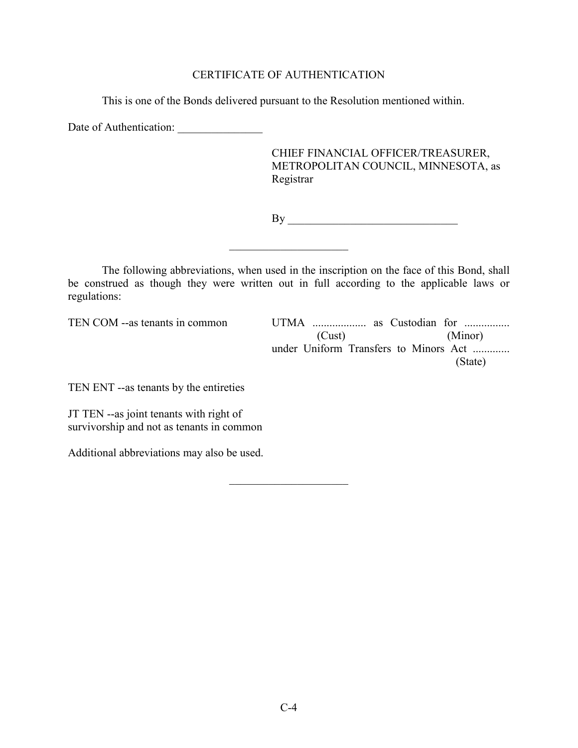# CERTIFICATE OF AUTHENTICATION

This is one of the Bonds delivered pursuant to the Resolution mentioned within.

Date of Authentication: \_\_\_\_\_\_\_\_\_\_\_\_\_\_\_

CHIEF FINANCIAL OFFICER/TREASURER, METROPOLITAN COUNCIL, MINNESOTA, as Registrar

By \_\_\_\_\_\_\_\_\_\_\_\_\_\_\_\_\_\_\_\_\_\_\_\_\_\_\_\_\_\_

The following abbreviations, when used in the inscription on the face of this Bond, shall be construed as though they were written out in full according to the applicable laws or regulations:

 $\overline{\phantom{a}}$  , and the set of the set of the set of the set of the set of the set of the set of the set of the set of the set of the set of the set of the set of the set of the set of the set of the set of the set of the s

 $\overline{\phantom{a}}$  , which is a set of the set of the set of the set of the set of the set of the set of the set of the set of the set of the set of the set of the set of the set of the set of the set of the set of the set of th

TEN COM --as tenants in common UTMA ................... as Custodian for ................ (Cust) (Minor) under Uniform Transfers to Minors Act ............. (State)

TEN ENT --as tenants by the entireties

JT TEN --as joint tenants with right of survivorship and not as tenants in common

Additional abbreviations may also be used.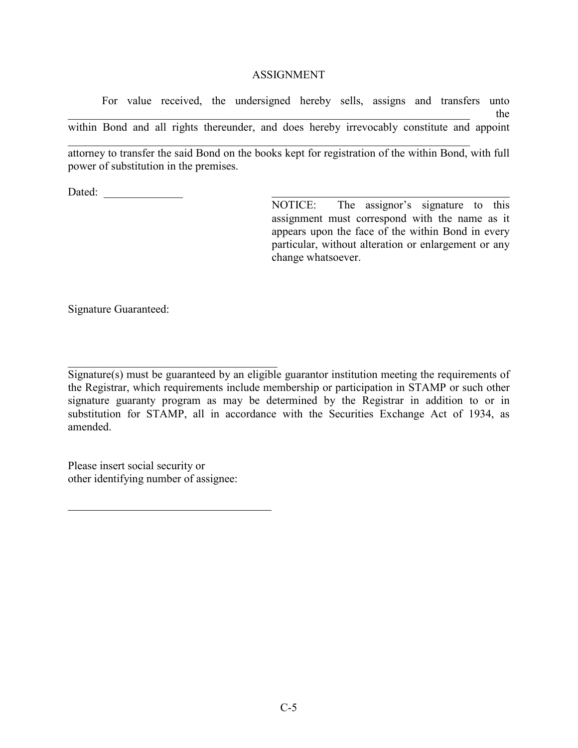## **ASSIGNMENT**

For value received, the undersigned hereby sells, assigns and transfers unto  $\blacksquare$ within Bond and all rights thereunder, and does hereby irrevocably constitute and appoint

\_\_\_\_\_\_\_\_\_\_\_\_\_\_\_\_\_\_\_\_\_\_\_\_\_\_\_\_\_\_\_\_\_\_\_\_\_\_\_\_\_\_\_\_\_\_\_\_\_\_\_\_\_\_\_\_\_\_\_\_\_\_\_\_\_\_\_\_\_\_\_ attorney to transfer the said Bond on the books kept for registration of the within Bond, with full power of substitution in the premises.

Dated:

NOTICE: The assignor's signature to this assignment must correspond with the name as it appears upon the face of the within Bond in every particular, without alteration or enlargement or any change whatsoever.

Signature Guaranteed:

\_\_\_\_\_\_\_\_\_\_\_\_\_\_\_\_\_\_\_\_\_\_\_\_\_\_\_\_\_\_\_\_\_\_\_\_\_ Signature(s) must be guaranteed by an eligible guarantor institution meeting the requirements of the Registrar, which requirements include membership or participation in STAMP or such other signature guaranty program as may be determined by the Registrar in addition to or in substitution for STAMP, all in accordance with the Securities Exchange Act of 1934, as amended.

Please insert social security or other identifying number of assignee: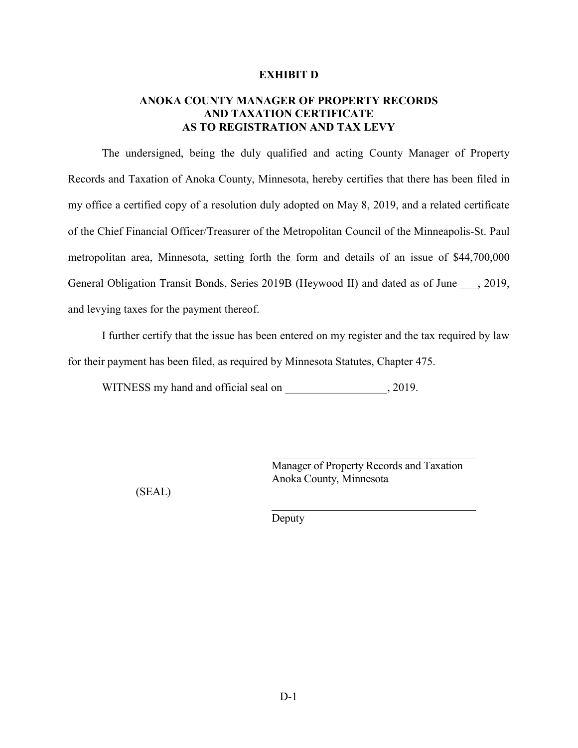### **EXHIBIT D**

## **ANOKA COUNTY MANAGER OF PROPERTY RECORDS AND TAXATION CERTIFICATE AS TO REGISTRATION AND TAX LEVY**

The undersigned, being the duly qualified and acting County Manager of Property Records and Taxation of Anoka County, Minnesota, hereby certifies that there has been filed in my office a certified copy of a resolution duly adopted on May 8, 2019, and a related certificate of the Chief Financial Officer/Treasurer of the Metropolitan Council of the Minneapolis-St. Paul metropolitan area, Minnesota, setting forth the form and details of an issue of \$44,700,000 General Obligation Transit Bonds, Series 2019B (Heywood II) and dated as of June  $\qquad$ , 2019, and levying taxes for the payment thereof.

I further certify that the issue has been entered on my register and the tax required by law for their payment has been filed, as required by Minnesota Statutes, Chapter 475.

WITNESS my hand and official seal on  $, 2019$ .

Manager of Property Records and Taxation Anoka County, Minnesota

(SEAL)

Deputy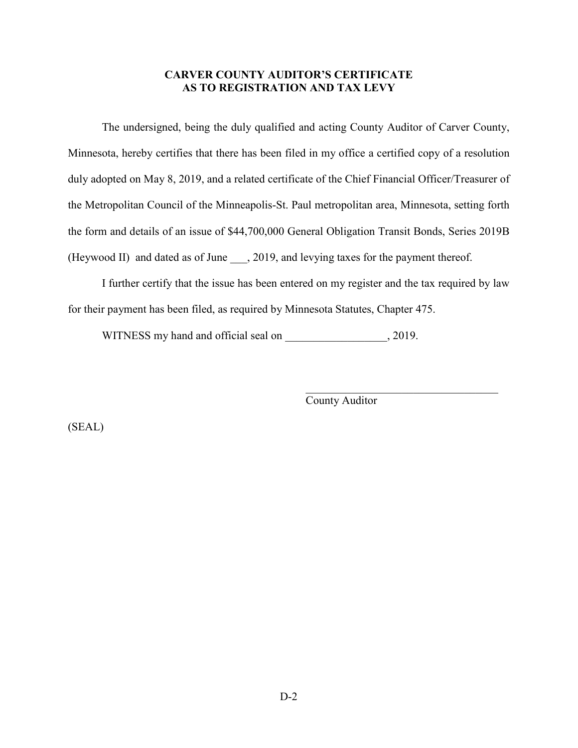## **CARVER COUNTY AUDITOR'S CERTIFICATE AS TO REGISTRATION AND TAX LEVY**

The undersigned, being the duly qualified and acting County Auditor of Carver County, Minnesota, hereby certifies that there has been filed in my office a certified copy of a resolution duly adopted on May 8, 2019, and a related certificate of the Chief Financial Officer/Treasurer of the Metropolitan Council of the Minneapolis-St. Paul metropolitan area, Minnesota, setting forth the form and details of an issue of \$44,700,000 General Obligation Transit Bonds, Series 2019B (Heywood II) and dated as of June, 2019, and levying taxes for the payment thereof.

I further certify that the issue has been entered on my register and the tax required by law for their payment has been filed, as required by Minnesota Statutes, Chapter 475.

WITNESS my hand and official seal on \_\_\_\_\_\_\_\_\_\_\_\_\_\_\_\_\_\_, 2019.

County Auditor

 $\mathcal{L}_\mathcal{L}$  , which is a set of the set of the set of the set of the set of the set of the set of the set of the set of the set of the set of the set of the set of the set of the set of the set of the set of the set of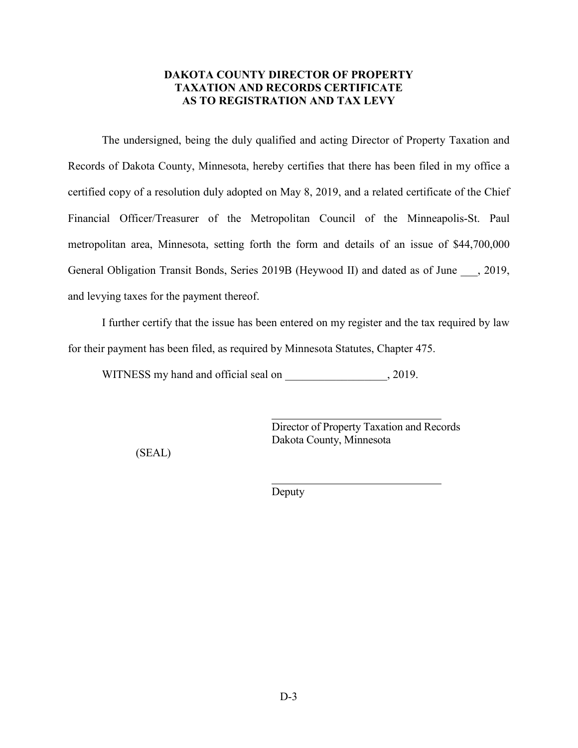# **DAKOTA COUNTY DIRECTOR OF PROPERTY TAXATION AND RECORDS CERTIFICATE AS TO REGISTRATION AND TAX LEVY**

The undersigned, being the duly qualified and acting Director of Property Taxation and Records of Dakota County, Minnesota, hereby certifies that there has been filed in my office a certified copy of a resolution duly adopted on May 8, 2019, and a related certificate of the Chief Financial Officer/Treasurer of the Metropolitan Council of the Minneapolis-St. Paul metropolitan area, Minnesota, setting forth the form and details of an issue of \$44,700,000 General Obligation Transit Bonds, Series 2019B (Heywood II) and dated as of June \_\_\_, 2019, and levying taxes for the payment thereof.

I further certify that the issue has been entered on my register and the tax required by law for their payment has been filed, as required by Minnesota Statutes, Chapter 475.

WITNESS my hand and official seal on  $, 2019$ .

Director of Property Taxation and Records Dakota County, Minnesota

(SEAL)

Deputy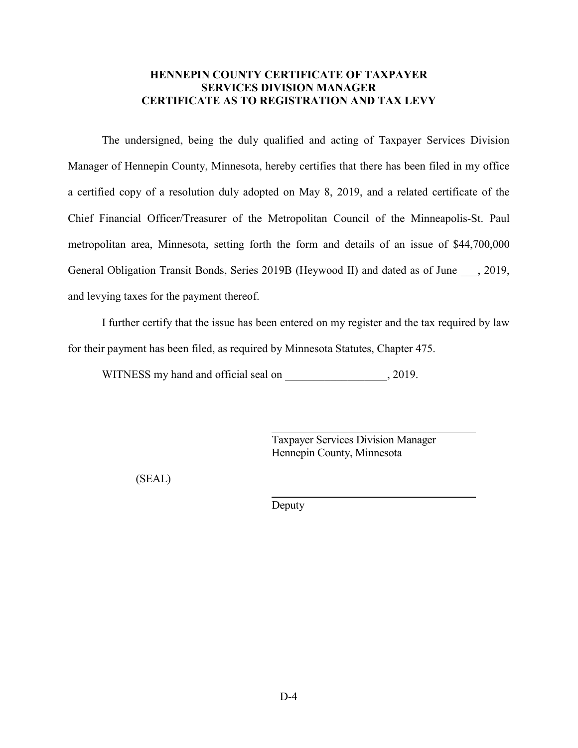# **HENNEPIN COUNTY CERTIFICATE OF TAXPAYER SERVICES DIVISION MANAGER CERTIFICATE AS TO REGISTRATION AND TAX LEVY**

The undersigned, being the duly qualified and acting of Taxpayer Services Division Manager of Hennepin County, Minnesota, hereby certifies that there has been filed in my office a certified copy of a resolution duly adopted on May 8, 2019, and a related certificate of the Chief Financial Officer/Treasurer of the Metropolitan Council of the Minneapolis-St. Paul metropolitan area, Minnesota, setting forth the form and details of an issue of \$44,700,000 General Obligation Transit Bonds, Series 2019B (Heywood II) and dated as of June, 2019, and levying taxes for the payment thereof.

I further certify that the issue has been entered on my register and the tax required by law for their payment has been filed, as required by Minnesota Statutes, Chapter 475.

WITNESS my hand and official seal on  $, 2019$ .

Taxpayer Services Division Manager Hennepin County, Minnesota

(SEAL)

Deputy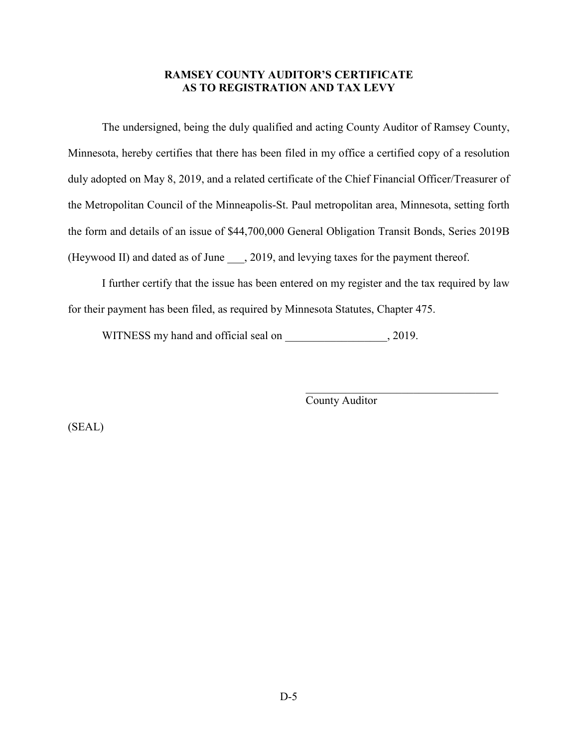## **RAMSEY COUNTY AUDITOR'S CERTIFICATE AS TO REGISTRATION AND TAX LEVY**

The undersigned, being the duly qualified and acting County Auditor of Ramsey County, Minnesota, hereby certifies that there has been filed in my office a certified copy of a resolution duly adopted on May 8, 2019, and a related certificate of the Chief Financial Officer/Treasurer of the Metropolitan Council of the Minneapolis-St. Paul metropolitan area, Minnesota, setting forth the form and details of an issue of \$44,700,000 General Obligation Transit Bonds, Series 2019B (Heywood II) and dated as of June, 2019, and levying taxes for the payment thereof.

I further certify that the issue has been entered on my register and the tax required by law for their payment has been filed, as required by Minnesota Statutes, Chapter 475.

WITNESS my hand and official seal on \_\_\_\_\_\_\_\_\_\_\_\_\_\_\_\_\_\_, 2019.

County Auditor

 $\mathcal{L}_\mathcal{L}$  , which is a set of the set of the set of the set of the set of the set of the set of the set of the set of the set of the set of the set of the set of the set of the set of the set of the set of the set of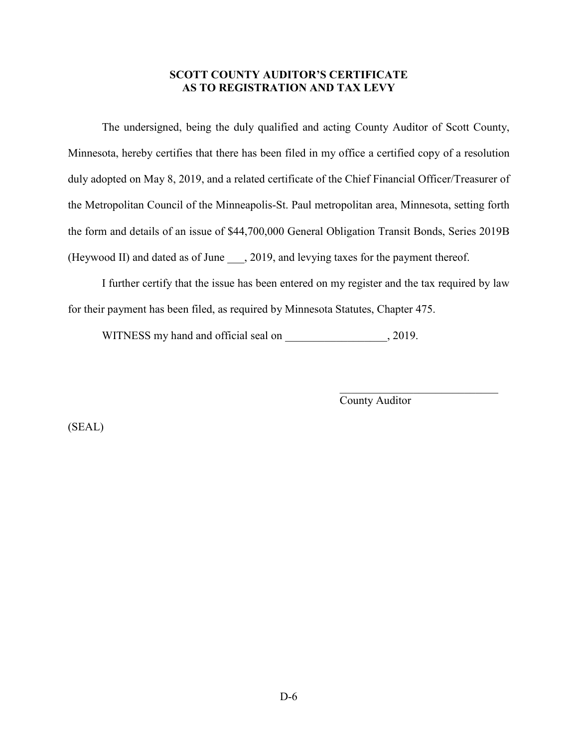## **SCOTT COUNTY AUDITOR'S CERTIFICATE AS TO REGISTRATION AND TAX LEVY**

The undersigned, being the duly qualified and acting County Auditor of Scott County, Minnesota, hereby certifies that there has been filed in my office a certified copy of a resolution duly adopted on May 8, 2019, and a related certificate of the Chief Financial Officer/Treasurer of the Metropolitan Council of the Minneapolis-St. Paul metropolitan area, Minnesota, setting forth the form and details of an issue of \$44,700,000 General Obligation Transit Bonds, Series 2019B (Heywood II) and dated as of June, 2019, and levying taxes for the payment thereof.

I further certify that the issue has been entered on my register and the tax required by law for their payment has been filed, as required by Minnesota Statutes, Chapter 475.

WITNESS my hand and official seal on \_\_\_\_\_\_\_\_\_\_\_\_\_\_\_\_\_\_, 2019.

County Auditor

 $\overline{\mathcal{L}}$  , and the set of the set of the set of the set of the set of the set of the set of the set of the set of the set of the set of the set of the set of the set of the set of the set of the set of the set of the s